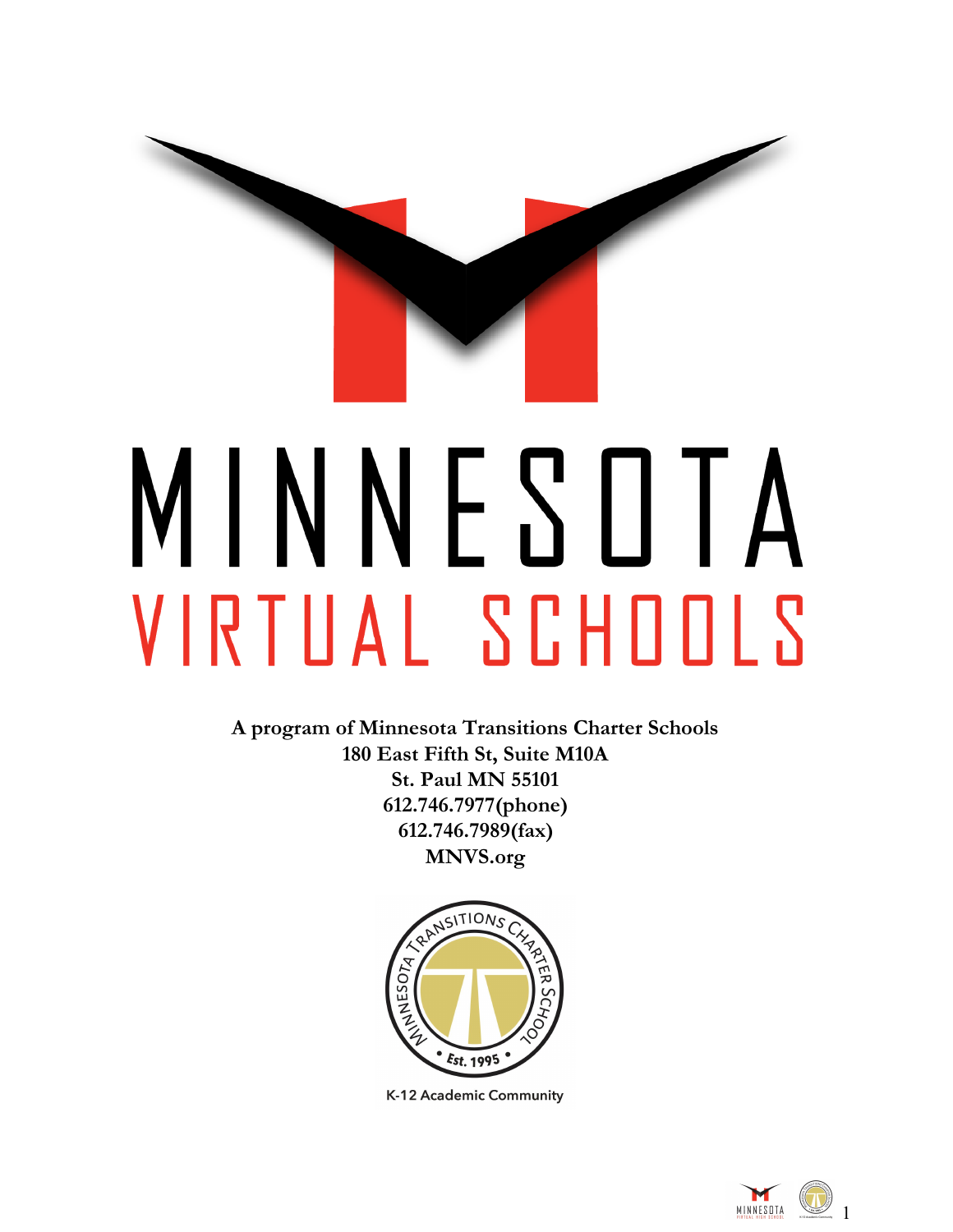

**A program of Minnesota Transitions Charter Schools 180 East Fifth St, Suite M10A St. Paul MN 55101 612.746.7977(phone) 612.746.7989(fax) MNVS.org**



K-12 Academic Community

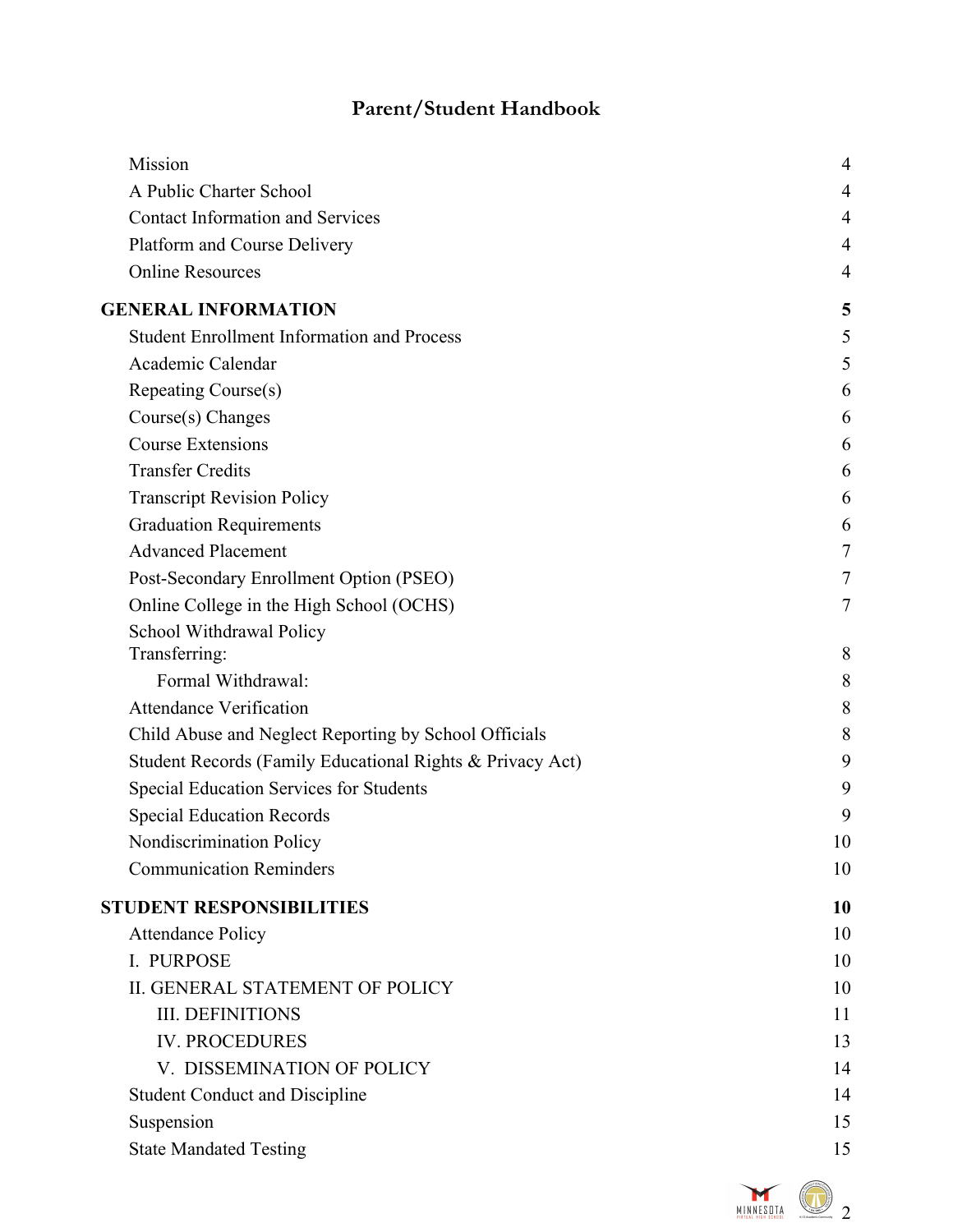# **Parent/Student Handbook**

| Mission                                                   | 4  |
|-----------------------------------------------------------|----|
| A Public Charter School                                   | 4  |
| <b>Contact Information and Services</b>                   | 4  |
| Platform and Course Delivery                              | 4  |
| <b>Online Resources</b>                                   | 4  |
| <b>GENERAL INFORMATION</b>                                | 5  |
| <b>Student Enrollment Information and Process</b>         | 5  |
| Academic Calendar                                         | 5  |
| Repeating Course(s)                                       | 6  |
| Course(s) Changes                                         | 6  |
| <b>Course Extensions</b>                                  | 6  |
| <b>Transfer Credits</b>                                   | 6  |
| <b>Transcript Revision Policy</b>                         | 6  |
| <b>Graduation Requirements</b>                            | 6  |
| <b>Advanced Placement</b>                                 | 7  |
| Post-Secondary Enrollment Option (PSEO)                   | 7  |
| Online College in the High School (OCHS)                  | 7  |
| School Withdrawal Policy                                  |    |
| Transferring:                                             | 8  |
| Formal Withdrawal:                                        | 8  |
| <b>Attendance Verification</b>                            | 8  |
| Child Abuse and Neglect Reporting by School Officials     | 8  |
| Student Records (Family Educational Rights & Privacy Act) | 9  |
| Special Education Services for Students                   | 9  |
| <b>Special Education Records</b>                          | 9  |
| Nondiscrimination Policy                                  | 10 |
| <b>Communication Reminders</b>                            | 10 |
| <b>STUDENT RESPONSIBILITIES</b>                           | 10 |
| <b>Attendance Policy</b>                                  | 10 |
| I. PURPOSE                                                | 10 |
| <b>II. GENERAL STATEMENT OF POLICY</b>                    | 10 |
| <b>III. DEFINITIONS</b>                                   | 11 |
| <b>IV. PROCEDURES</b>                                     | 13 |
| V. DISSEMINATION OF POLICY                                | 14 |
| <b>Student Conduct and Discipline</b>                     | 14 |
| Suspension                                                | 15 |
| <b>State Mandated Testing</b>                             | 15 |
|                                                           |    |

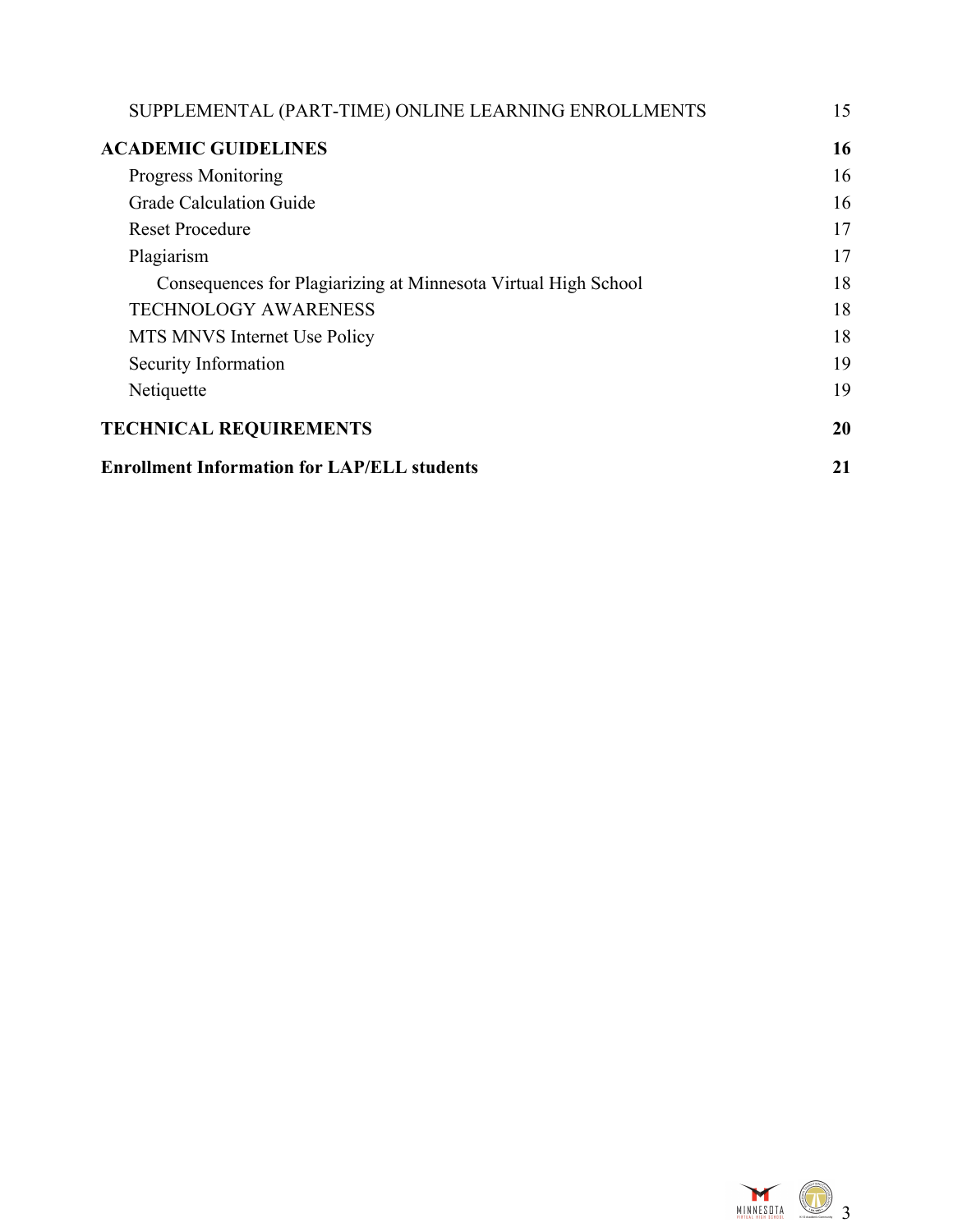| SUPPLEMENTAL (PART-TIME) ONLINE LEARNING ENROLLMENTS           | 15 |
|----------------------------------------------------------------|----|
| <b>ACADEMIC GUIDELINES</b>                                     | 16 |
| <b>Progress Monitoring</b>                                     | 16 |
| Grade Calculation Guide                                        | 16 |
| <b>Reset Procedure</b>                                         | 17 |
| Plagiarism                                                     | 17 |
| Consequences for Plagiarizing at Minnesota Virtual High School | 18 |
| <b>TECHNOLOGY AWARENESS</b>                                    | 18 |
| MTS MNVS Internet Use Policy                                   | 18 |
| Security Information                                           | 19 |
| Netiquette                                                     | 19 |
| <b>TECHNICAL REQUIREMENTS</b>                                  |    |
| <b>Enrollment Information for LAP/ELL students</b>             | 21 |

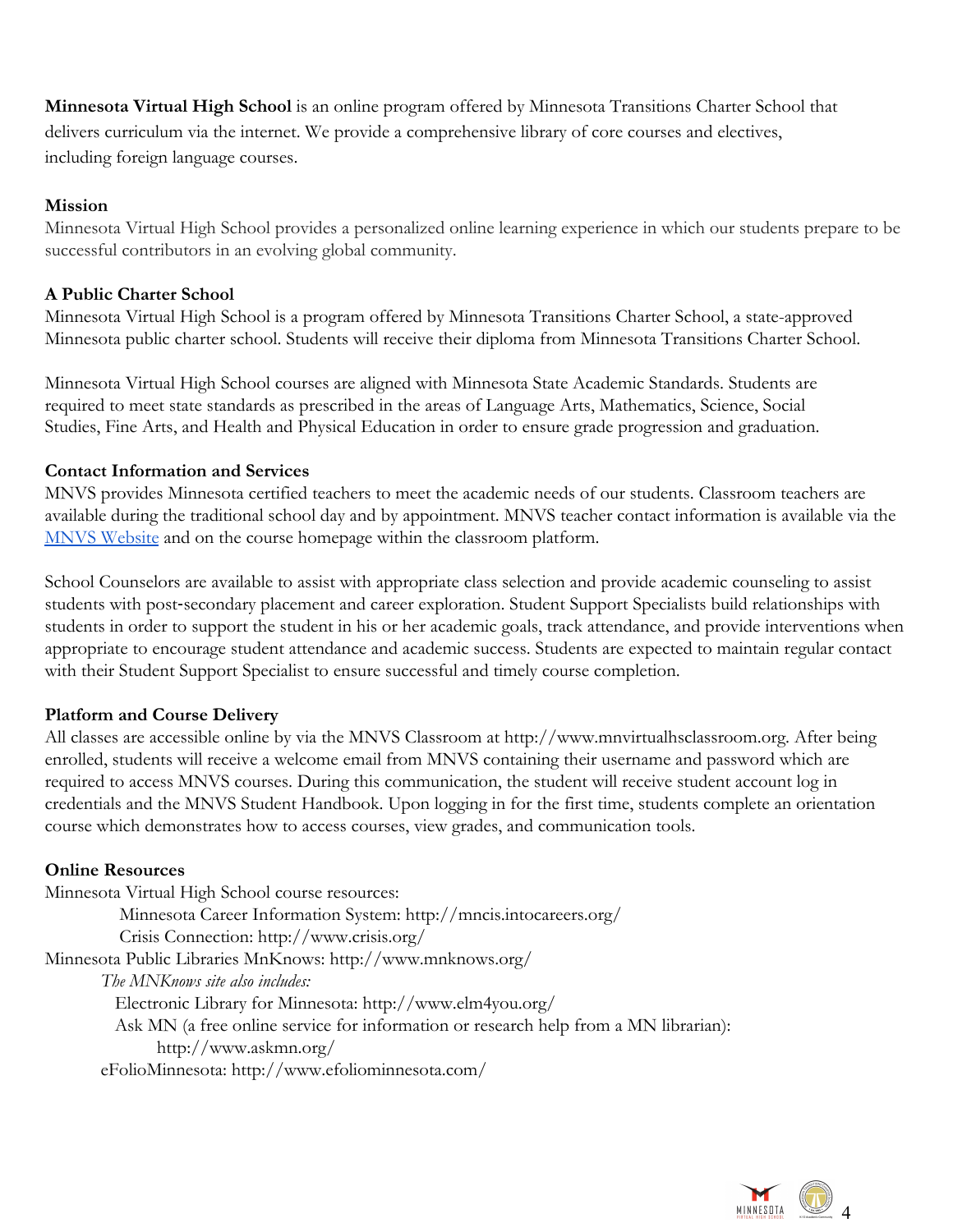**Minnesota Virtual High School** is an online program offered by Minnesota Transitions Charter School that delivers curriculum via the internet. We provide a comprehensive library of core courses and electives, including foreign language courses.

#### <span id="page-3-0"></span>**Mission**

Minnesota Virtual High School provides a personalized online learning experience in which our students prepare to be successful contributors in an evolving global community.

#### <span id="page-3-1"></span>**A Public Charter School**

Minnesota Virtual High School is a program offered by Minnesota Transitions Charter School, a state-approved Minnesota public charter school. Students will receive their diploma from Minnesota Transitions Charter School.

Minnesota Virtual High School courses are aligned with Minnesota State Academic Standards. Students are required to meet state standards as prescribed in the areas of Language Arts, Mathematics, Science, Social Studies, Fine Arts, and Health and Physical Education in order to ensure grade progression and graduation.

#### <span id="page-3-2"></span>**Contact Information and Services**

MNVS provides Minnesota certified teachers to meet the academic needs of our students. Classroom teachers are available during the traditional school day and by appointment. MNVS teacher contact information is available via the [MNVS Website](https://mtcs.org/staff/) and on the course homepage within the classroom platform.

School Counselors are available to assist with appropriate class selection and provide academic counseling to assist students with post-secondary placement and career exploration. Student Support Specialists build relationships with students in order to support the student in his or her academic goals, track attendance, and provide interventions when appropriate to encourage student attendance and academic success. Students are expected to maintain regular contact with their Student Support Specialist to ensure successful and timely course completion.

#### <span id="page-3-3"></span>**Platform and Course Delivery**

All classes are accessible online by via the MNVS Classroom at http://www.mnvirtualhsclassroom.org. After being enrolled, students will receive a welcome email from MNVS containing their username and password which are required to access MNVS courses. During this communication, the student will receive student account log in credentials and the MNVS Student Handbook. Upon logging in for the first time, students complete an orientation course which demonstrates how to access courses, view grades, and communication tools.

#### <span id="page-3-4"></span>**Online Resources**

Minnesota Virtual High School course resources: Minnesota Career Information System: http://mncis.intocareers.org/ Crisis Connection: http://www.crisis.org/ Minnesota Public Libraries MnKnows: http://www.mnknows.org/ *The MNKnows site also includes:* Electronic Library for Minnesota: http://www.elm4you.org/ Ask MN (a free online service for information or research help from a MN librarian): http://www.askmn.org/ eFolioMinnesota: http://www.efoliominnesota.com/

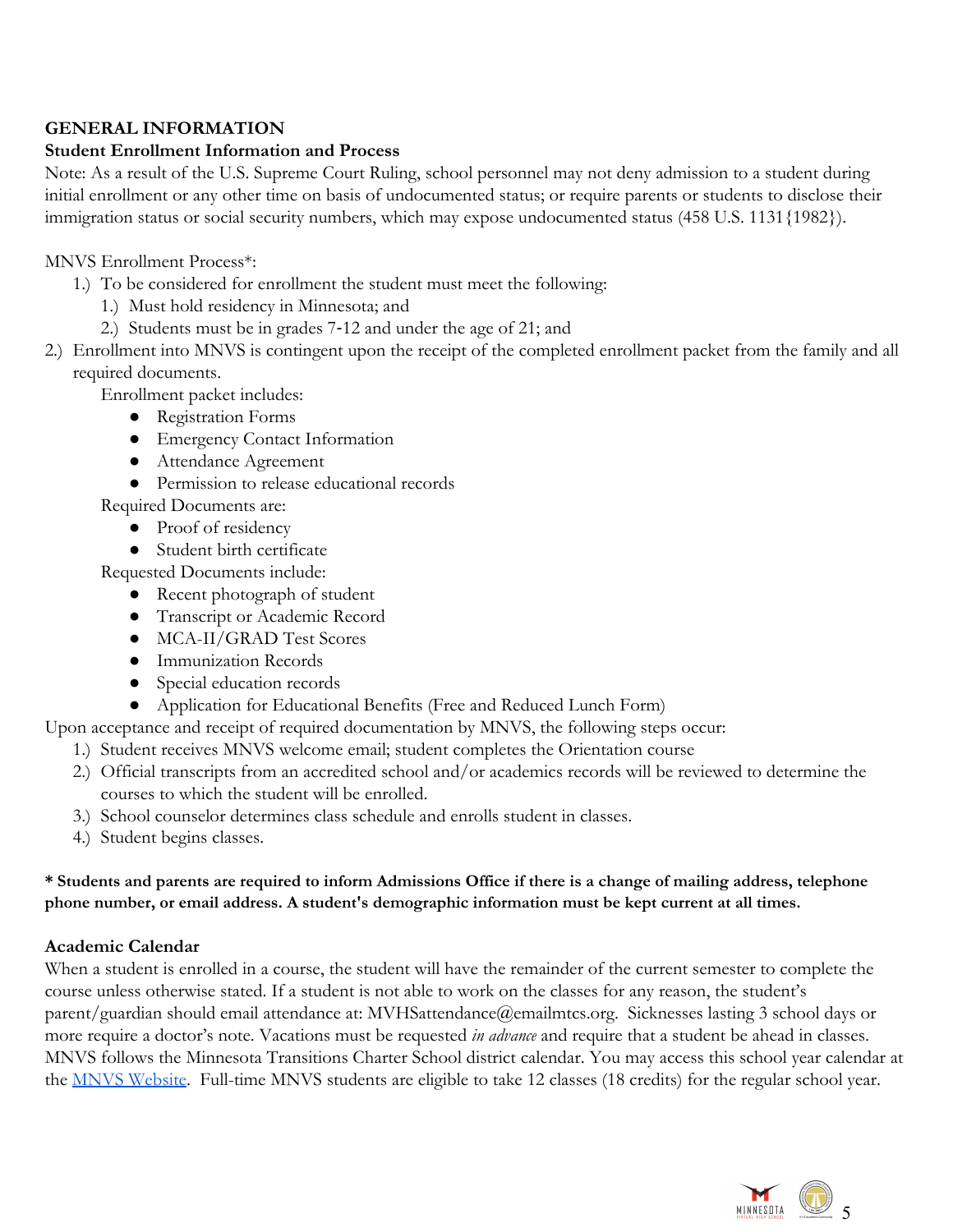# <span id="page-4-0"></span>**GENERAL INFORMATION**

# <span id="page-4-1"></span>**Student Enrollment Information and Process**

Note: As a result of the U.S. Supreme Court Ruling, school personnel may not deny admission to a student during initial enrollment or any other time on basis of undocumented status; or require parents or students to disclose their immigration status or social security numbers, which may expose undocumented status (458 U.S. 1131 {1982}).

### MNVS Enrollment Process\*:

- 1.) To be considered for enrollment the student must meet the following:
	- 1.) Must hold residency in Minnesota; and
	- 2.) Students must be in grades 7-12 and under the age of 21; and
- 2.) Enrollment into MNVS is contingent upon the receipt of the completed enrollment packet from the family and all required documents.

Enrollment packet includes:

- Registration Forms
- Emergency Contact Information
- Attendance Agreement
- Permission to release educational records
- Required Documents are:
	- Proof of residency
	- Student birth certificate

Requested Documents include:

- Recent photograph of student
- Transcript or Academic Record
- MCA-II/GRAD Test Scores
- Immunization Records
- Special education records
- Application for Educational Benefits (Free and Reduced Lunch Form)

Upon acceptance and receipt of required documentation by MNVS, the following steps occur:

- 1.) Student receives MNVS welcome email; student completes the Orientation course
- 2.) Official transcripts from an accredited school and/or academics records will be reviewed to determine the courses to which the student will be enrolled.
- 3.) School counselor determines class schedule and enrolls student in classes.
- 4.) Student begins classes.

### \* Students and parents are required to inform Admissions Office if there is a change of mailing address, telephone **phone number, or email address. A student's demographic information must be kept current at all times.**

# <span id="page-4-2"></span>**Academic Calendar**

When a student is enrolled in a course, the student will have the remainder of the current semester to complete the course unless otherwise stated. If a student is not able to work on the classes for any reason, the student's parent/guardian should email attendance at: MVHSattendance@emailmtcs.org. Sicknesses lasting 3 school days or more require a doctor's note. Vacations must be requested *in advance* and require that a student be ahead in classes. MNVS follows the Minnesota Transitions Charter School district calendar. You may access this school year calendar at the [MNVS Website.](https://mtcs.org/virtual/calendar/) Full-time MNVS students are eligible to take 12 classes (18 credits) for the regular school year.

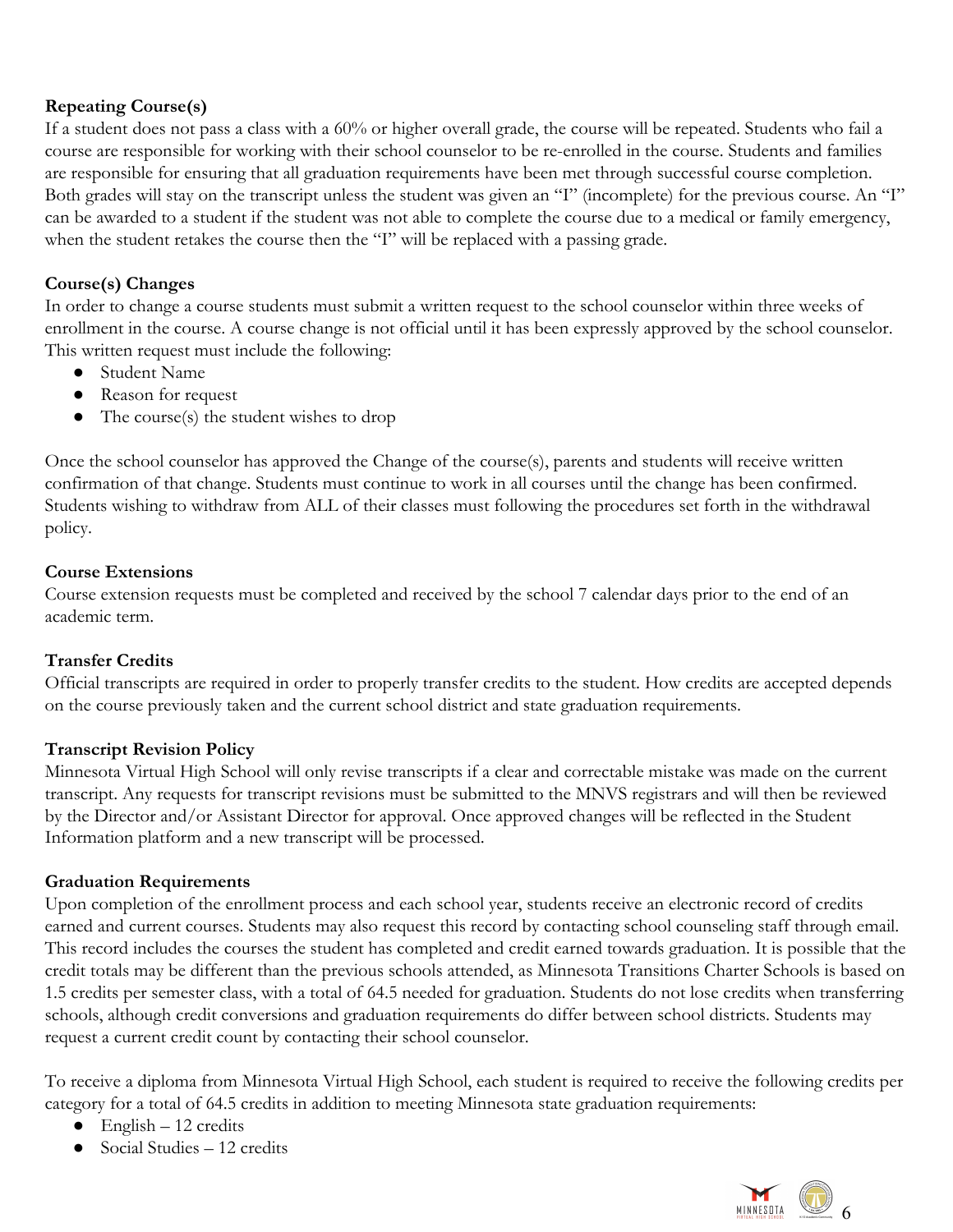# <span id="page-5-0"></span>**Repeating Course(s)**

If a student does not pass a class with a 60% or higher overall grade, the course will be repeated. Students who fail a course are responsible for working with their school counselor to be re-enrolled in the course. Students and families are responsible for ensuring that all graduation requirements have been met through successful course completion. Both grades will stay on the transcript unless the student was given an "I" (incomplete) for the previous course. An "I" can be awarded to a student if the student was not able to complete the course due to a medical or family emergency, when the student retakes the course then the "I" will be replaced with a passing grade.

# <span id="page-5-1"></span>**Course(s) Changes**

In order to change a course students must submit a written request to the school counselor within three weeks of enrollment in the course. A course change is not official until it has been expressly approved by the school counselor. This written request must include the following:

- Student Name
- Reason for request
- The course(s) the student wishes to drop

Once the school counselor has approved the Change of the course(s), parents and students will receive written confirmation of that change. Students must continue to work in all courses until the change has been confirmed. Students wishing to withdraw from ALL of their classes must following the procedures set forth in the withdrawal policy.

### <span id="page-5-2"></span>**Course Extensions**

Course extension requests must be completed and received by the school 7 calendar days prior to the end of an academic term.

# <span id="page-5-3"></span>**Transfer Credits**

Official transcripts are required in order to properly transfer credits to the student. How credits are accepted depends on the course previously taken and the current school district and state graduation requirements.

### <span id="page-5-4"></span>**Transcript Revision Policy**

Minnesota Virtual High School will only revise transcripts if a clear and correctable mistake was made on the current transcript. Any requests for transcript revisions must be submitted to the MNVS registrars and will then be reviewed by the Director and/or Assistant Director for approval. Once approved changes will be reflected in the Student Information platform and a new transcript will be processed.

### <span id="page-5-5"></span>**Graduation Requirements**

Upon completion of the enrollment process and each school year, students receive an electronic record of credits earned and current courses. Students may also request this record by contacting school counseling staff through email. This record includes the courses the student has completed and credit earned towards graduation. It is possible that the credit totals may be different than the previous schools attended, as Minnesota Transitions Charter Schools is based on 1.5 credits per semester class, with a total of 64.5 needed for graduation. Students do not lose credits when transferring schools, although credit conversions and graduation requirements do differ between school districts. Students may request a current credit count by contacting their school counselor.

To receive a diploma from Minnesota Virtual High School, each student is required to receive the following credits per category for a total of 64.5 credits in addition to meeting Minnesota state graduation requirements:

- $\bullet$  English 12 credits
- $\bullet$  Social Studies 12 credits

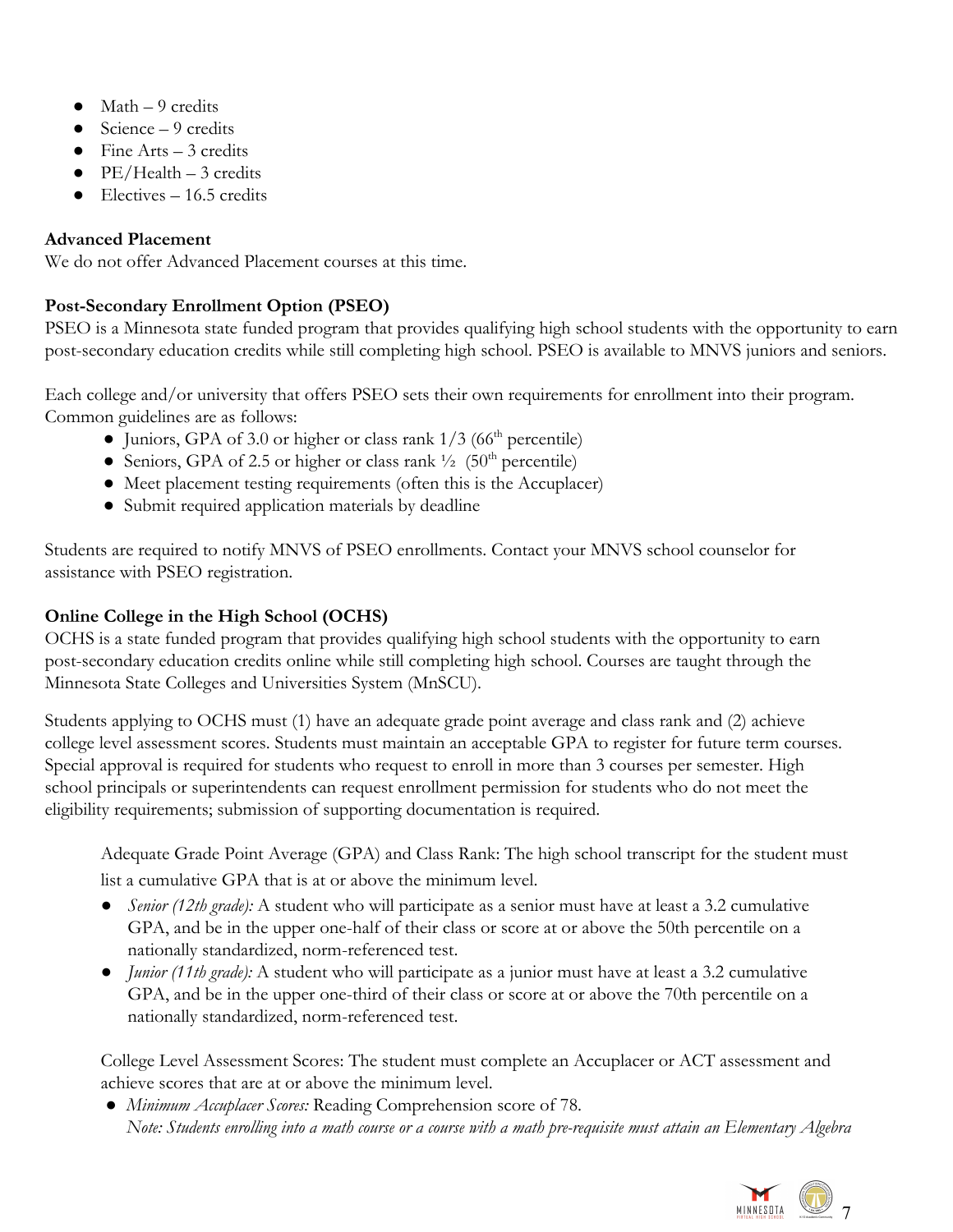- $\bullet$  Math 9 credits
- $\bullet$  Science 9 credits
- $\bullet$  Fine Arts 3 credits
- $\bullet$  PE/Health 3 credits
- <span id="page-6-0"></span> $\bullet$  Electives – 16.5 credits

# **Advanced Placement**

We do not offer Advanced Placement courses at this time.

# <span id="page-6-1"></span>**Post-Secondary Enrollment Option (PSEO)**

PSEO is a Minnesota state funded program that provides qualifying high school students with the opportunity to earn post-secondary education credits while still completing high school. PSEO is available to MNVS juniors and seniors.

Each college and/or university that offers PSEO sets their own requirements for enrollment into their program. Common guidelines are as follows:

- Juniors, GPA of 3.0 or higher or class rank  $1/3$  (66<sup>th</sup> percentile)
- Seniors, GPA of 2.5 or higher or class rank  $\frac{1}{2}$  (50<sup>th</sup> percentile)
- Meet placement testing requirements (often this is the Accuplacer)
- Submit required application materials by deadline

Students are required to notify MNVS of PSEO enrollments. Contact your MNVS school counselor for assistance with PSEO registration.

# <span id="page-6-2"></span>**Online College in the High School (OCHS)**

OCHS is a state funded program that provides qualifying high school students with the opportunity to earn post-secondary education credits online while still completing high school. Courses are taught through the Minnesota State Colleges and Universities System (MnSCU).

Students applying to OCHS must (1) have an adequate grade point average and class rank and (2) achieve college level assessment scores. Students must maintain an acceptable GPA to register for future term courses. Special approval is required for students who request to enroll in more than 3 courses per semester. High school principals or superintendents can request enrollment permission for students who do not meet the eligibility requirements; submission of supporting documentation is required.

Adequate Grade Point Average (GPA) and Class Rank: The high school transcript for the student must list a cumulative GPA that is at or above the minimum level.

- *Senior (12th grade):* A student who will participate as a senior must have at least a 3.2 cumulative GPA, and be in the upper one-half of their class or score at or above the 50th percentile on a nationally standardized, norm-referenced test.
- *Junior (11th grade):* A student who will participate as a junior must have at least a 3.2 cumulative GPA, and be in the upper one-third of their class or score at or above the 70th percentile on a nationally standardized, norm-referenced test.

College Level Assessment Scores: The student must complete an Accuplacer or ACT assessment and achieve scores that are at or above the minimum level.

● *Minimum Accuplacer Scores:* Reading Comprehension score of 78. *Note: Students enrolling into a math course or a course with a math pre-requisite must attain an Elementary Algebra*

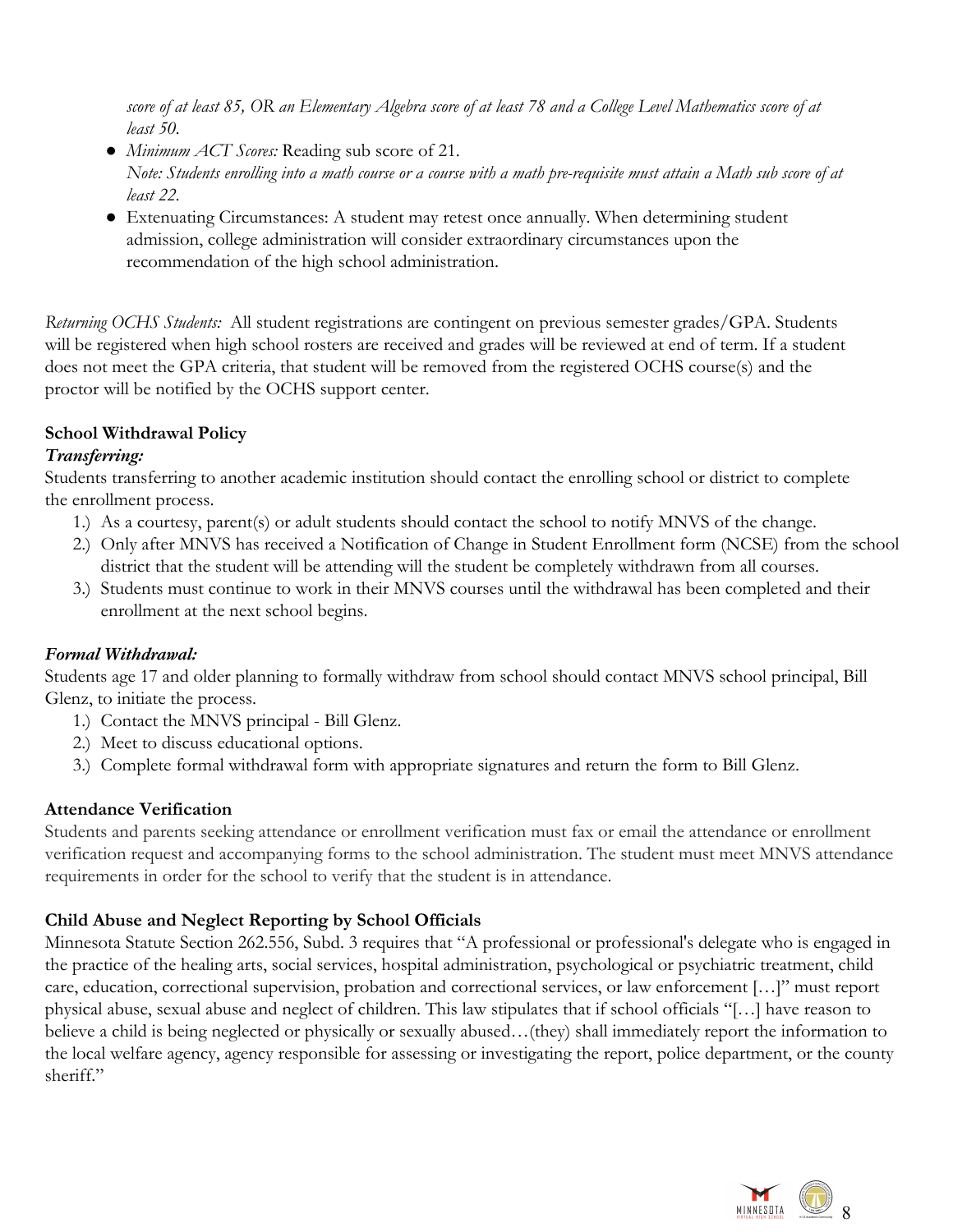*score of at least 85, OR an Elementary Algebra score of at least 78 and a College Level Mathematics score of at least 50.*

- *Minimum ACT Scores:* Reading sub score of 21. *Note: Students enrolling into a math course or a course with a math pre-requisite must attain a Math sub score of at least 22.*
- Extenuating Circumstances: A student may retest once annually. When determining student admission, college administration will consider extraordinary circumstances upon the recommendation of the high school administration.

*Returning OCHS Students:* All student registrations are contingent on previous semester grades/GPA. Students will be registered when high school rosters are received and grades will be reviewed at end of term. If a student does not meet the GPA criteria, that student will be removed from the registered OCHS course(s) and the proctor will be notified by the OCHS support center.

# <span id="page-7-0"></span>**School Withdrawal Policy**

# *Transferring:*

Students transferring to another academic institution should contact the enrolling school or district to complete the enrollment process.

- 1.) As a courtesy, parent(s) or adult students should contact the school to notify MNVS of the change.
- 2.) Only after MNVS has received a Notification of Change in Student Enrollment form (NCSE) from the school district that the student will be attending will the student be completely withdrawn from all courses.
- 3.) Students must continue to work in their MNVS courses until the withdrawal has been completed and their enrollment at the next school begins.

# <span id="page-7-1"></span>*Formal Withdrawal:*

Students age 17 and older planning to formally withdraw from school should contact MNVS school principal, Bill Glenz, to initiate the process.

- 1.) Contact the MNVS principal Bill Glenz.
- 2.) Meet to discuss educational options.
- <span id="page-7-2"></span>3.) Complete formal withdrawal form with appropriate signatures and return the form to Bill Glenz.

# **Attendance Verification**

Students and parents seeking attendance or enrollment verification must fax or email the attendance or enrollment verification request and accompanying forms to the school administration. The student must meet MNVS attendance requirements in order for the school to verify that the student is in attendance.

# <span id="page-7-3"></span>**Child Abuse and Neglect Reporting by School Officials**

Minnesota Statute Section 262.556, Subd. 3 requires that "A professional or professional's delegate who is engaged in the practice of the healing arts, social services, hospital administration, psychological or psychiatric treatment, child care, education, correctional supervision, probation and correctional services, or law enforcement […]" must report physical abuse, sexual abuse and neglect of children. This law stipulates that if school officials "[…] have reason to believe a child is being neglected or physically or sexually abused…(they) shall immediately report the information to the local welfare agency, agency responsible for assessing or investigating the report, police department, or the county sheriff."

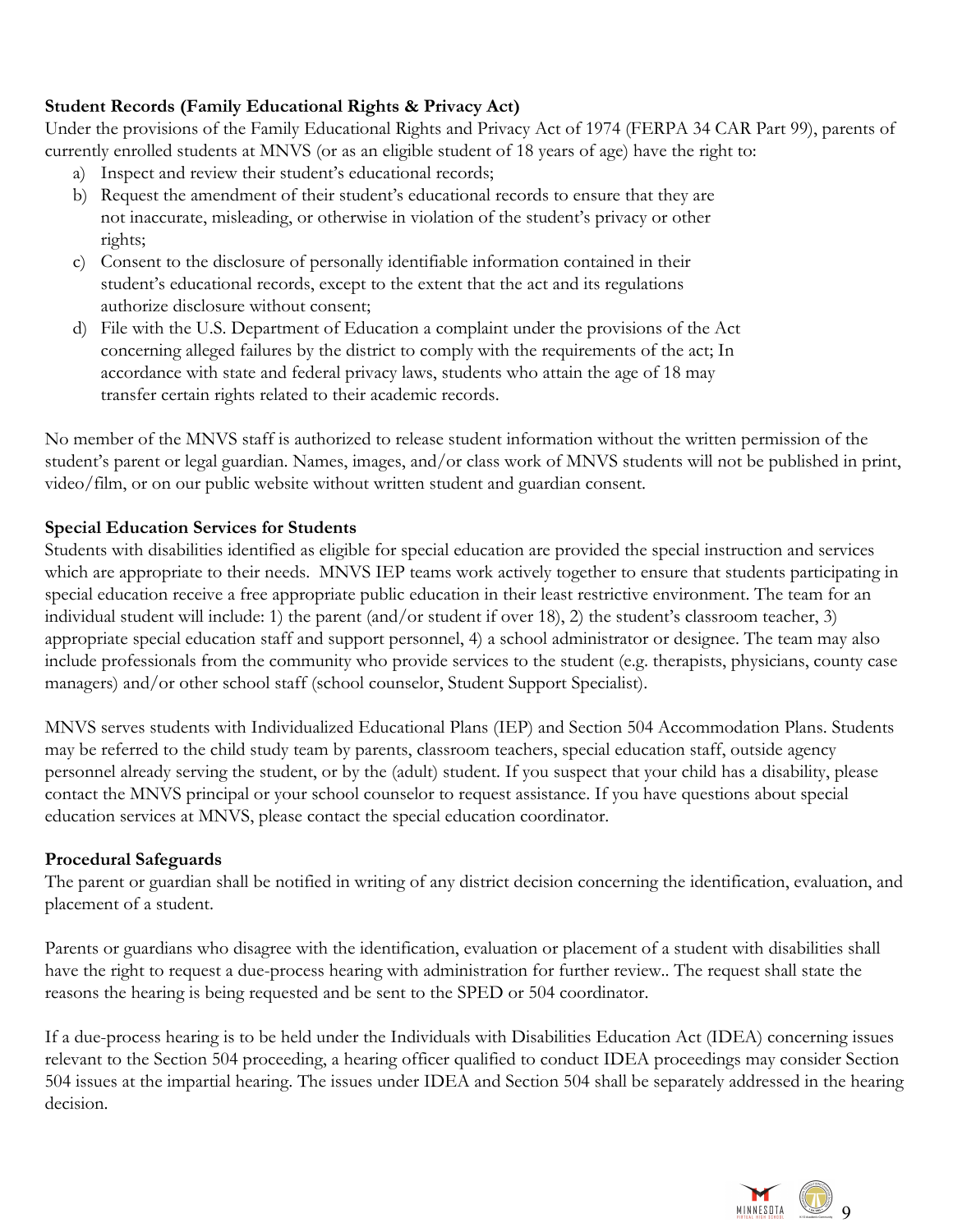# <span id="page-8-0"></span>**Student Records (Family Educational Rights & Privacy Act)**

Under the provisions of the Family Educational Rights and Privacy Act of 1974 (FERPA 34 CAR Part 99), parents of currently enrolled students at MNVS (or as an eligible student of 18 years of age) have the right to:

- a) Inspect and review their student's educational records;
- b) Request the amendment of their student's educational records to ensure that they are not inaccurate, misleading, or otherwise in violation of the student's privacy or other rights;
- c) Consent to the disclosure of personally identifiable information contained in their student's educational records, except to the extent that the act and its regulations authorize disclosure without consent;
- d) File with the U.S. Department of Education a complaint under the provisions of the Act concerning alleged failures by the district to comply with the requirements of the act; In accordance with state and federal privacy laws, students who attain the age of 18 may transfer certain rights related to their academic records.

No member of the MNVS staff is authorized to release student information without the written permission of the student's parent or legal guardian. Names, images, and/or class work of MNVS students will not be published in print, video/film, or on our public website without written student and guardian consent.

### <span id="page-8-1"></span>**Special Education Services for Students**

Students with disabilities identified as eligible for special education are provided the special instruction and services which are appropriate to their needs. MNVS IEP teams work actively together to ensure that students participating in special education receive a free appropriate public education in their least restrictive environment. The team for an individual student will include: 1) the parent (and/or student if over 18), 2) the student's classroom teacher, 3) appropriate special education staff and support personnel, 4) a school administrator or designee. The team may also include professionals from the community who provide services to the student (e.g. therapists, physicians, county case managers) and/or other school staff (school counselor, Student Support Specialist).

MNVS serves students with Individualized Educational Plans (IEP) and Section 504 Accommodation Plans. Students may be referred to the child study team by parents, classroom teachers, special education staff, outside agency personnel already serving the student, or by the (adult) student. If you suspect that your child has a disability, please contact the MNVS principal or your school counselor to request assistance. If you have questions about special education services at MNVS, please contact the special education coordinator.

### **Procedural Safeguards**

The parent or guardian shall be notified in writing of any district decision concerning the identification, evaluation, and placement of a student.

Parents or guardians who disagree with the identification, evaluation or placement of a student with disabilities shall have the right to request a due-process hearing with administration for further review.. The request shall state the reasons the hearing is being requested and be sent to the SPED or 504 coordinator.

If a due-process hearing is to be held under the Individuals with Disabilities Education Act (IDEA) concerning issues relevant to the Section 504 proceeding, a hearing officer qualified to conduct IDEA proceedings may consider Section 504 issues at the impartial hearing. The issues under IDEA and Section 504 shall be separately addressed in the hearing decision.

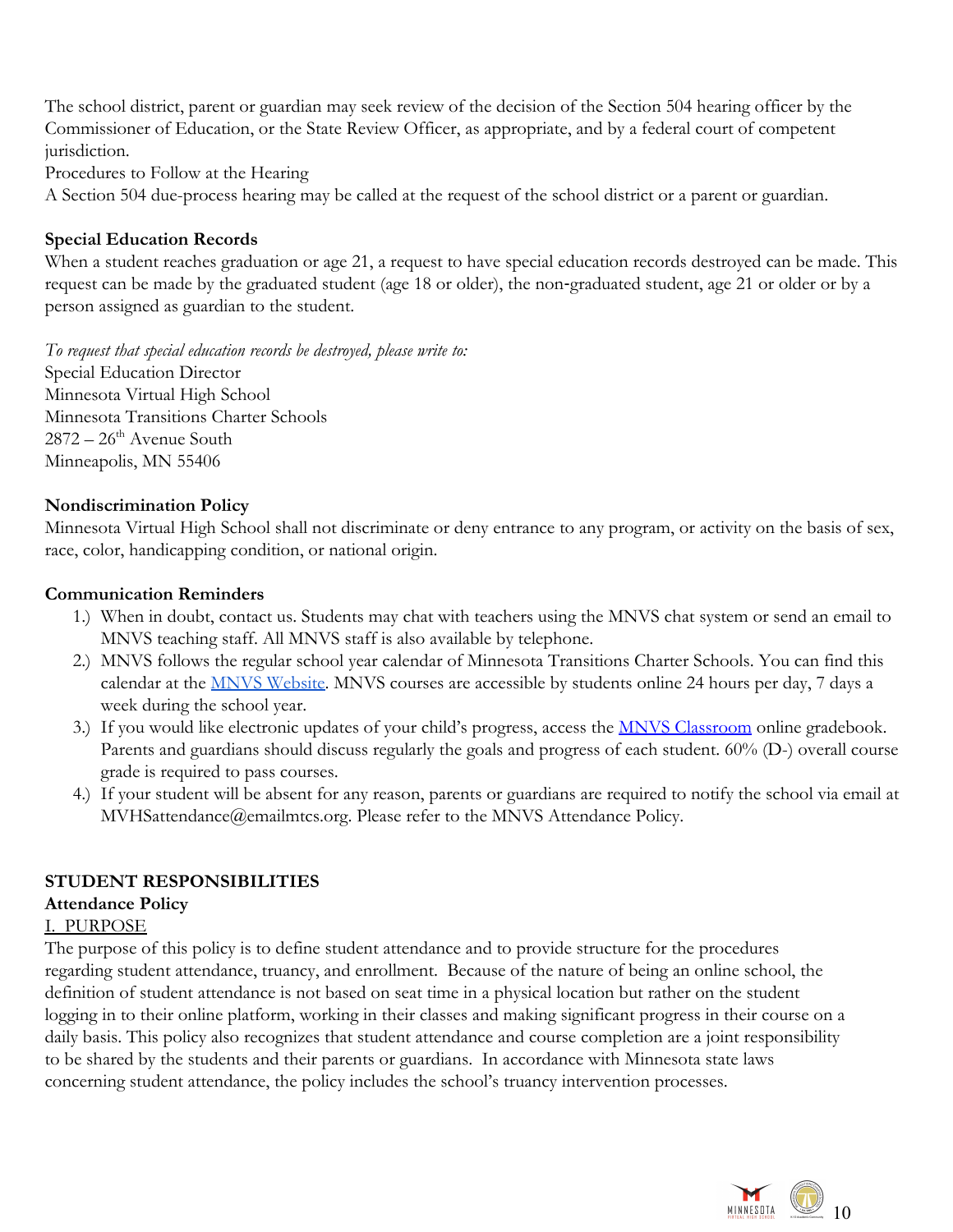The school district, parent or guardian may seek review of the decision of the Section 504 hearing officer by the Commissioner of Education, or the State Review Officer, as appropriate, and by a federal court of competent jurisdiction.

Procedures to Follow at the Hearing

A Section 504 due-process hearing may be called at the request of the school district or a parent or guardian.

# <span id="page-9-0"></span>**Special Education Records**

When a student reaches graduation or age 21, a request to have special education records destroyed can be made. This request can be made by the graduated student (age 18 or older), the non-graduated student, age 21 or older or by a person assigned as guardian to the student.

*To request that special education records be destroyed, please write to:*

Special Education Director Minnesota Virtual High School Minnesota Transitions Charter Schools 2872 – 26<sup>th</sup> Avenue South Minneapolis, MN 55406

### <span id="page-9-1"></span>**Nondiscrimination Policy**

Minnesota Virtual High School shall not discriminate or deny entrance to any program, or activity on the basis of sex, race, color, handicapping condition, or national origin.

### **Communication Reminders**

- <span id="page-9-2"></span>1.) When in doubt, contact us. Students may chat with teachers using the MNVS chat system or send an email to MNVS teaching staff. All MNVS staff is also available by telephone.
- 2.) MNVS follows the regular school year calendar of Minnesota Transitions Charter Schools. You can find this calendar at the **MNVS Website**. MNVS courses are accessible by students online 24 hours per day, 7 days a week during the school year..
- 3.) If you would like electronic updates of your child's progress, access the **[MNVS Classroom](http://www.mnvirtualhsclassroom.org/)** online gradebook. Parents and guardians should discuss regularly the goals and progress of each student. 60% (D-) overall course grade is required to pass courses.
- 4.) If your student will be absent for any reason, parents or guardians are required to notify the school via email at MVHSattendance@emailmtcs.org. Please refer to the MNVS Attendance Policy.

# <span id="page-9-3"></span>**STUDENT RESPONSIBILITIES**

### <span id="page-9-4"></span>**Attendance Policy**

### <span id="page-9-5"></span>I. PURPOSE

The purpose of this policy is to define student attendance and to provide structure for the procedures regarding student attendance, truancy, and enrollment. Because of the nature of being an online school, the definition of student attendance is not based on seat time in a physical location but rather on the student logging in to their online platform, working in their classes and making significant progress in their course on a daily basis. This policy also recognizes that student attendance and course completion are a joint responsibility to be shared by the students and their parents or guardians. In accordance with Minnesota state laws concerning student attendance, the policy includes the school's truancy intervention processes.

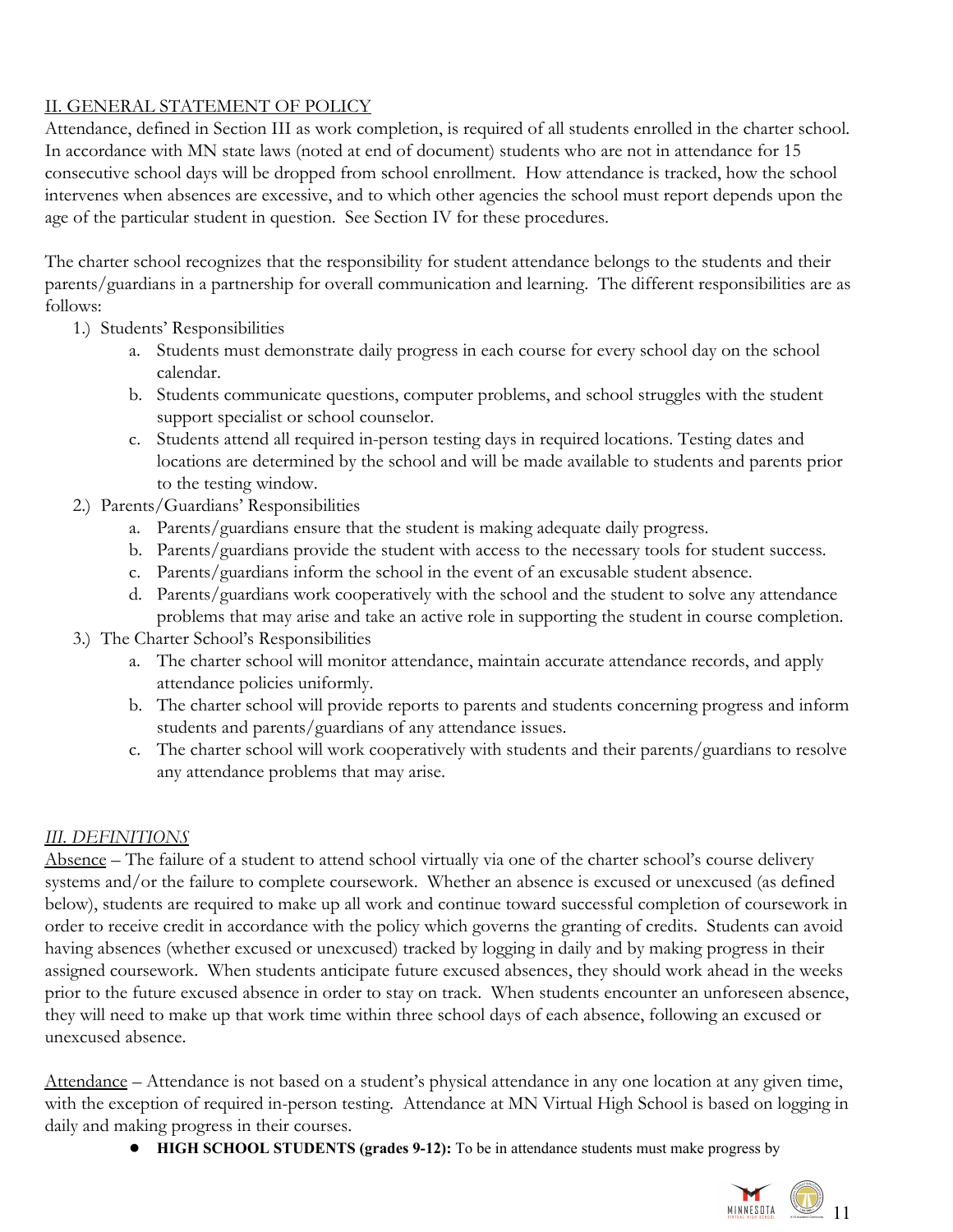# <span id="page-10-0"></span>II. GENERAL STATEMENT OF POLICY

Attendance, defined in Section III as work completion, is required of all students enrolled in the charter school. In accordance with MN state laws (noted at end of document) students who are not in attendance for 15 consecutive school days will be dropped from school enrollment. How attendance is tracked, how the school intervenes when absences are excessive, and to which other agencies the school must report depends upon the age of the particular student in question. See Section IV for these procedures.

The charter school recognizes that the responsibility for student attendance belongs to the students and their parents/guardians in a partnership for overall communication and learning. The different responsibilities are as follows:

- 1.) Students' Responsibilities
	- a. Students must demonstrate daily progress in each course for every school day on the school calendar.
	- b. Students communicate questions, computer problems, and school struggles with the student support specialist or school counselor.
	- c. Students attend all required in-person testing days in required locations. Testing dates and locations are determined by the school and will be made available to students and parents prior to the testing window.
- 2.) Parents/Guardians' Responsibilities
	- a. Parents/guardians ensure that the student is making adequate daily progress.
	- b. Parents/guardians provide the student with access to the necessary tools for student success.
	- c. Parents/guardians inform the school in the event of an excusable student absence.
	- d. Parents/guardians work cooperatively with the school and the student to solve any attendance problems that may arise and take an active role in supporting the student in course completion.
- 3.) The Charter School's Responsibilities
	- a. The charter school will monitor attendance, maintain accurate attendance records, and apply attendance policies uniformly.
	- b. The charter school will provide reports to parents and students concerning progress and inform students and parents/guardians of any attendance issues.
	- c. The charter school will work cooperatively with students and their parents/guardians to resolve any attendance problems that may arise.

# <span id="page-10-1"></span>*III. DEFINITIONS*

Absence – The failure of a student to attend school virtually via one of the charter school's course delivery systems and/or the failure to complete coursework. Whether an absence is excused or unexcused (as defined below), students are required to make up all work and continue toward successful completion of coursework in order to receive credit in accordance with the policy which governs the granting of credits. Students can avoid having absences (whether excused or unexcused) tracked by logging in daily and by making progress in their assigned coursework. When students anticipate future excused absences, they should work ahead in the weeks prior to the future excused absence in order to stay on track. When students encounter an unforeseen absence, they will need to make up that work time within three school days of each absence, following an excused or unexcused absence.

Attendance – Attendance is not based on a student's physical attendance in any one location at any given time, with the exception of required in-person testing. Attendance at MN Virtual High School is based on logging in daily and making progress in their courses.

● **HIGH SCHOOL STUDENTS (grades 9-12):** To be in attendance students must make progress by

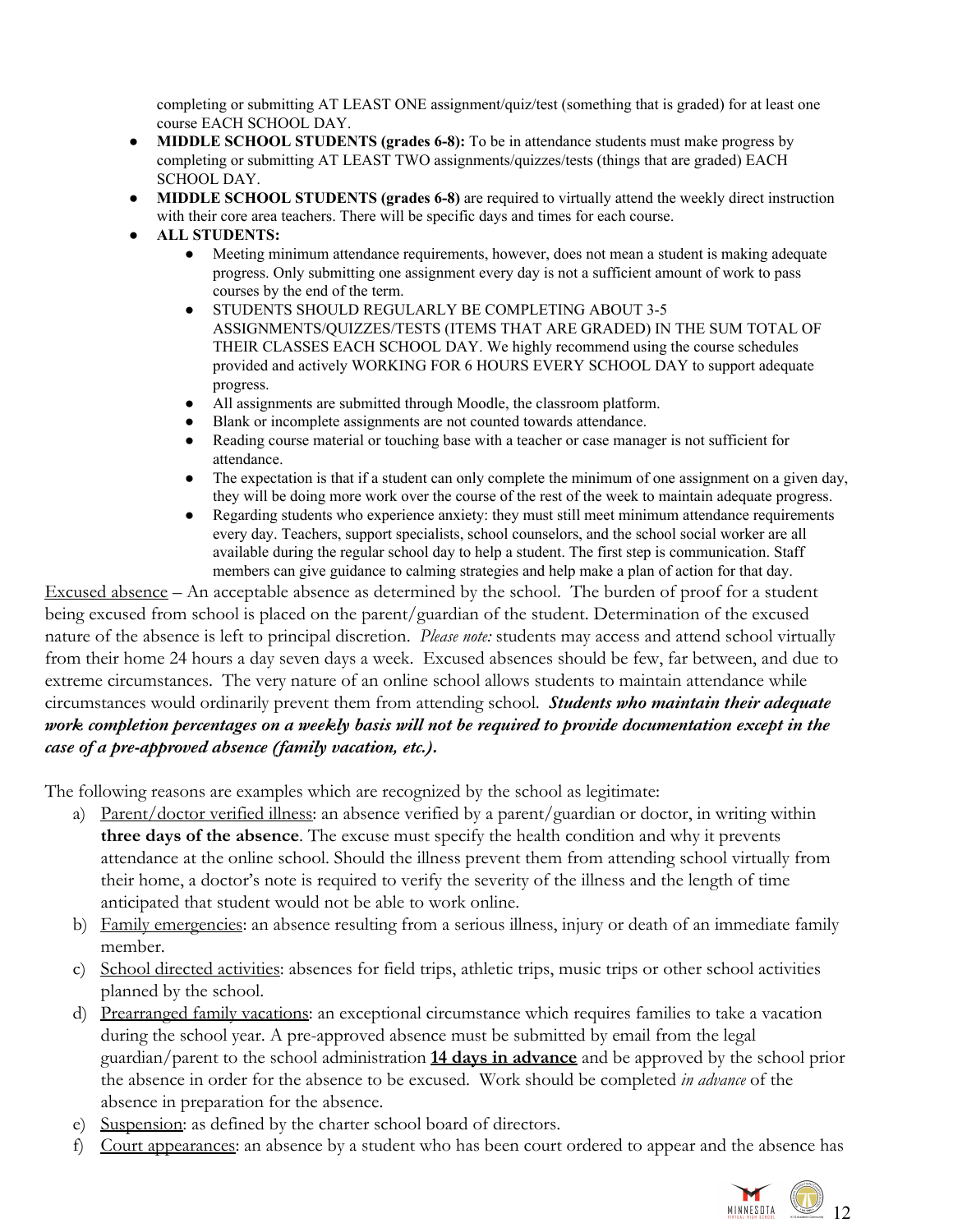completing or submitting AT LEAST ONE assignment/quiz/test (something that is graded) for at least one course EACH SCHOOL DAY.

- **● MIDDLE SCHOOL STUDENTS (grades 6-8):** To be in attendance students must make progress by completing or submitting AT LEAST TWO assignments/quizzes/tests (things that are graded) EACH SCHOOL DAY.
- **● MIDDLE SCHOOL STUDENTS (grades 6-8)** are required to virtually attend the weekly direct instruction with their core area teachers. There will be specific days and times for each course.
- **● ALL STUDENTS:**
	- Meeting minimum attendance requirements, however, does not mean a student is making adequate progress. Only submitting one assignment every day is not a sufficient amount of work to pass courses by the end of the term.
	- STUDENTS SHOULD REGULARLY BE COMPLETING ABOUT 3-5 ASSIGNMENTS/QUIZZES/TESTS (ITEMS THAT ARE GRADED) IN THE SUM TOTAL OF THEIR CLASSES EACH SCHOOL DAY. We highly recommend using the course schedules provided and actively WORKING FOR 6 HOURS EVERY SCHOOL DAY to support adequate progress.
	- All assignments are submitted through Moodle, the classroom platform.
	- Blank or incomplete assignments are not counted towards attendance.
	- Reading course material or touching base with a teacher or case manager is not sufficient for attendance.
	- The expectation is that if a student can only complete the minimum of one assignment on a given day, they will be doing more work over the course of the rest of the week to maintain adequate progress.
	- Regarding students who experience anxiety: they must still meet minimum attendance requirements every day. Teachers, support specialists, school counselors, and the school social worker are all available during the regular school day to help a student. The first step is communication. Staff members can give guidance to calming strategies and help make a plan of action for that day.

Excused absence – An acceptable absence as determined by the school. The burden of proof for a student being excused from school is placed on the parent/guardian of the student. Determination of the excused nature of the absence is left to principal discretion. *Please note:* students may access and attend school virtually from their home 24 hours a day seven days a week. Excused absences should be few, far between, and due to extreme circumstances. The very nature of an online school allows students to maintain attendance while circumstances would ordinarily prevent them from attending school. *Students who maintain their adequate work completion percentages on a weekly basis will not be required to provide documentation except in the case of a pre-approved absence (family vacation, etc.).*

The following reasons are examples which are recognized by the school as legitimate:

- a) Parent/doctor verified illness: an absence verified by a parent/guardian or doctor, in writing within **three days of the absence**. The excuse must specify the health condition and why it prevents attendance at the online school. Should the illness prevent them from attending school virtually from their home, a doctor's note is required to verify the severity of the illness and the length of time anticipated that student would not be able to work online.
- b) Family emergencies: an absence resulting from a serious illness, injury or death of an immediate family member.
- c) School directed activities: absences for field trips, athletic trips, music trips or other school activities planned by the school.
- d) Prearranged family vacations: an exceptional circumstance which requires families to take a vacation during the school year. A pre-approved absence must be submitted by email from the legal guardian/parent to the school administration **14 days in advance** and be approved by the school prior the absence in order for the absence to be excused. Work should be completed *in advance* of the absence in preparation for the absence.
- e) Suspension: as defined by the charter school board of directors.
- f) Court appearances: an absence by a student who has been court ordered to appear and the absence has

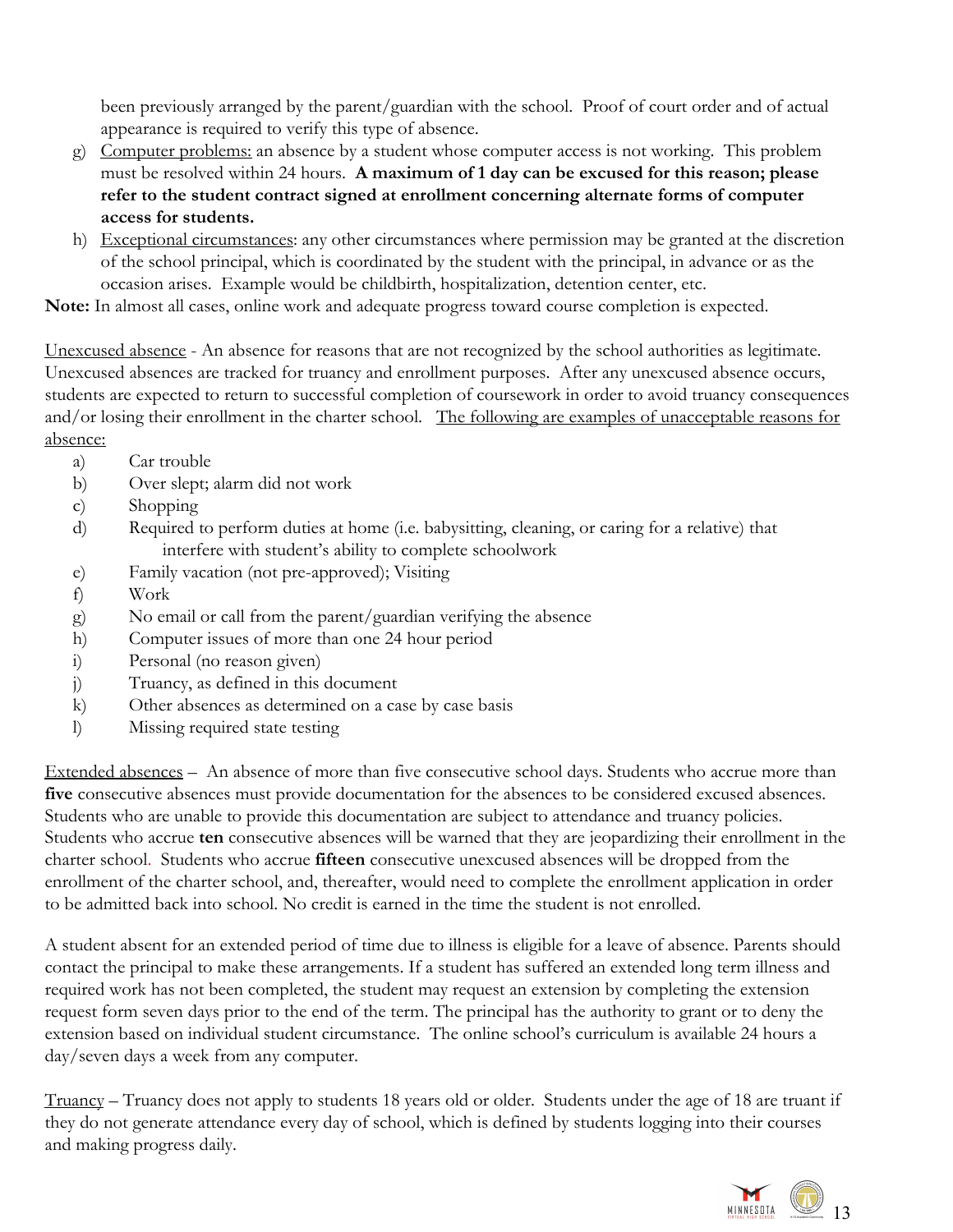been previously arranged by the parent/guardian with the school. Proof of court order and of actual appearance is required to verify this type of absence.

- g) Computer problems: an absence by a student whose computer access is not working. This problem must be resolved within 24 hours. **A maximum of 1 day can be excused for this reason; please refer to the student contract signed at enrollment concerning alternate forms of computer access for students.**
- h) Exceptional circumstances: any other circumstances where permission may be granted at the discretion of the school principal, which is coordinated by the student with the principal, in advance or as the occasion arises. Example would be childbirth, hospitalization, detention center, etc.

**Note:** In almost all cases, online work and adequate progress toward course completion is expected.

Unexcused absence - An absence for reasons that are not recognized by the school authorities as legitimate. Unexcused absences are tracked for truancy and enrollment purposes. After any unexcused absence occurs, students are expected to return to successful completion of coursework in order to avoid truancy consequences and/or losing their enrollment in the charter school. The following are examples of unacceptable reasons for absence:

- a) Car trouble
- b) Over slept; alarm did not work
- c) Shopping
- d) Required to perform duties at home (i.e. babysitting, cleaning, or caring for a relative) that interfere with student's ability to complete schoolwork
- e) Family vacation (not pre-approved); Visiting
- f) Work
- g) No email or call from the parent/guardian verifying the absence
- h) Computer issues of more than one 24 hour period
- i) Personal (no reason given)
- j) Truancy, as defined in this document
- k) Other absences as determined on a case by case basis
- l) Missing required state testing

Extended absences – An absence of more than five consecutive school days. Students who accrue more than **five** consecutive absences must provide documentation for the absences to be considered excused absences. Students who are unable to provide this documentation are subject to attendance and truancy policies. Students who accrue **ten** consecutive absences will be warned that they are jeopardizing their enrollment in the charter school. Students who accrue **fifteen** consecutive unexcused absences will be dropped from the enrollment of the charter school, and, thereafter, would need to complete the enrollment application in order to be admitted back into school. No credit is earned in the time the student is not enrolled.

A student absent for an extended period of time due to illness is eligible for a leave of absence. Parents should contact the principal to make these arrangements. If a student has suffered an extended long term illness and required work has not been completed, the student may request an extension by completing the extension request form seven days prior to the end of the term. The principal has the authority to grant or to deny the extension based on individual student circumstance. The online school's curriculum is available 24 hours a day/seven days a week from any computer.

Truancy – Truancy does not apply to students 18 years old or older. Students under the age of 18 are truant if they do not generate attendance every day of school, which is defined by students logging into their courses and making progress daily.

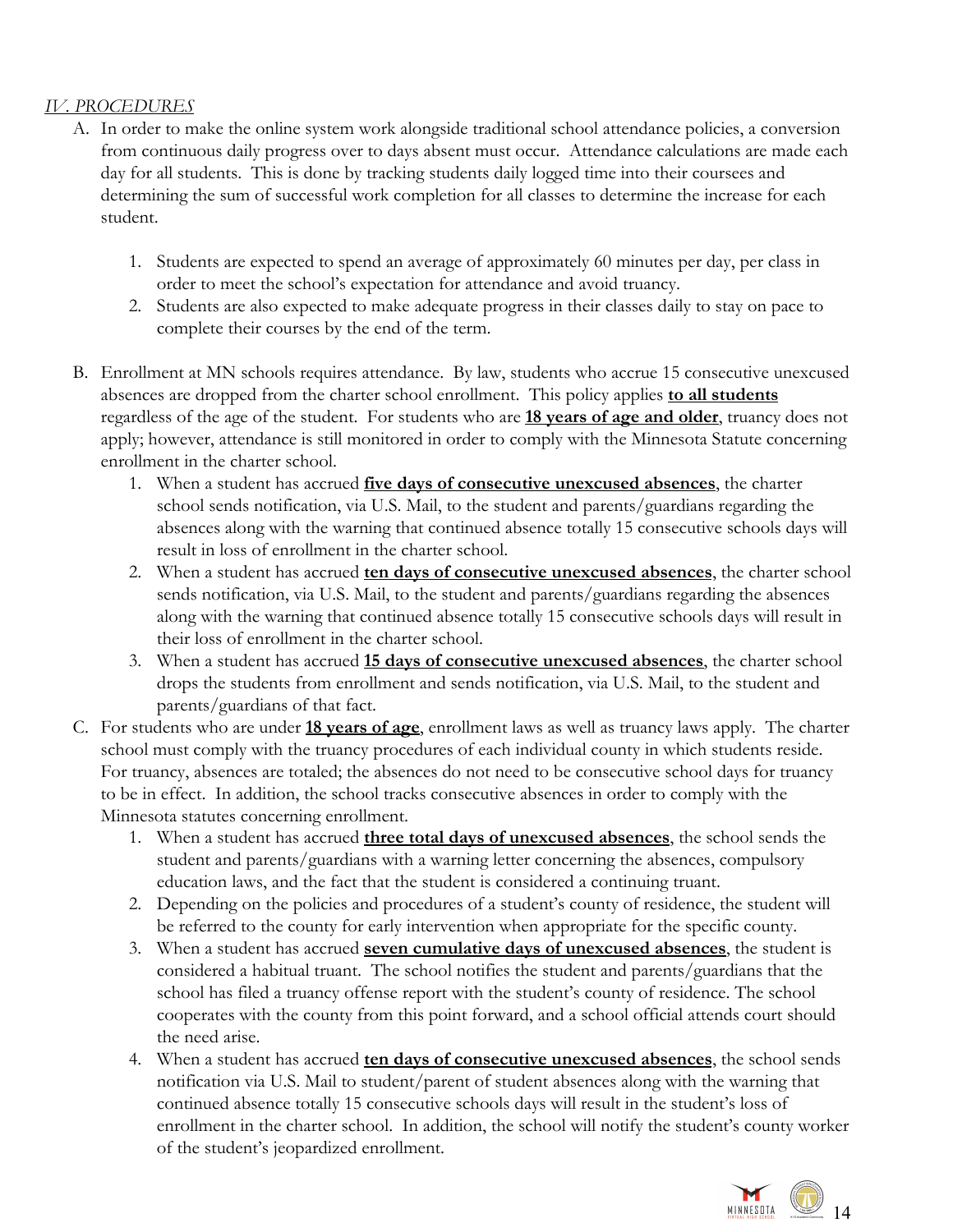# *IV. PROCEDURES*

- <span id="page-13-0"></span>A. In order to make the online system work alongside traditional school attendance policies, a conversion from continuous daily progress over to days absent must occur. Attendance calculations are made each day for all students. This is done by tracking students daily logged time into their coursees and determining the sum of successful work completion for all classes to determine the increase for each student.
	- 1. Students are expected to spend an average of approximately 60 minutes per day, per class in order to meet the school's expectation for attendance and avoid truancy.
	- 2. Students are also expected to make adequate progress in their classes daily to stay on pace to complete their courses by the end of the term.
- B. Enrollment at MN schools requires attendance. By law, students who accrue 15 consecutive unexcused absences are dropped from the charter school enrollment. This policy applies **to all students** regardless of the age of the student. For students who are **18 years of age and older**, truancy does not apply; however, attendance is still monitored in order to comply with the Minnesota Statute concerning enrollment in the charter school.
	- 1. When a student has accrued **five days of consecutive unexcused absences**, the charter school sends notification, via U.S. Mail, to the student and parents/guardians regarding the absences along with the warning that continued absence totally 15 consecutive schools days will result in loss of enrollment in the charter school.
	- 2. When a student has accrued **ten days of consecutive unexcused absences**, the charter school sends notification, via U.S. Mail, to the student and parents/guardians regarding the absences along with the warning that continued absence totally 15 consecutive schools days will result in their loss of enrollment in the charter school.
	- 3. When a student has accrued **15 days of consecutive unexcused absences**, the charter school drops the students from enrollment and sends notification, via U.S. Mail, to the student and parents/guardians of that fact.
- C. For students who are under **18 years of age**, enrollment laws as well as truancy laws apply. The charter school must comply with the truancy procedures of each individual county in which students reside. For truancy, absences are totaled; the absences do not need to be consecutive school days for truancy to be in effect. In addition, the school tracks consecutive absences in order to comply with the Minnesota statutes concerning enrollment.
	- 1. When a student has accrued **three total days of unexcused absences**, the school sends the student and parents/guardians with a warning letter concerning the absences, compulsory education laws, and the fact that the student is considered a continuing truant.
	- 2. Depending on the policies and procedures of a student's county of residence, the student will be referred to the county for early intervention when appropriate for the specific county.
	- 3. When a student has accrued **seven cumulative days of unexcused absences**, the student is considered a habitual truant. The school notifies the student and parents/guardians that the school has filed a truancy offense report with the student's county of residence. The school cooperates with the county from this point forward, and a school official attends court should the need arise.
	- 4. When a student has accrued **ten days of consecutive unexcused absences**, the school sends notification via U.S. Mail to student/parent of student absences along with the warning that continued absence totally 15 consecutive schools days will result in the student's loss of enrollment in the charter school. In addition, the school will notify the student's county worker of the student's jeopardized enrollment.

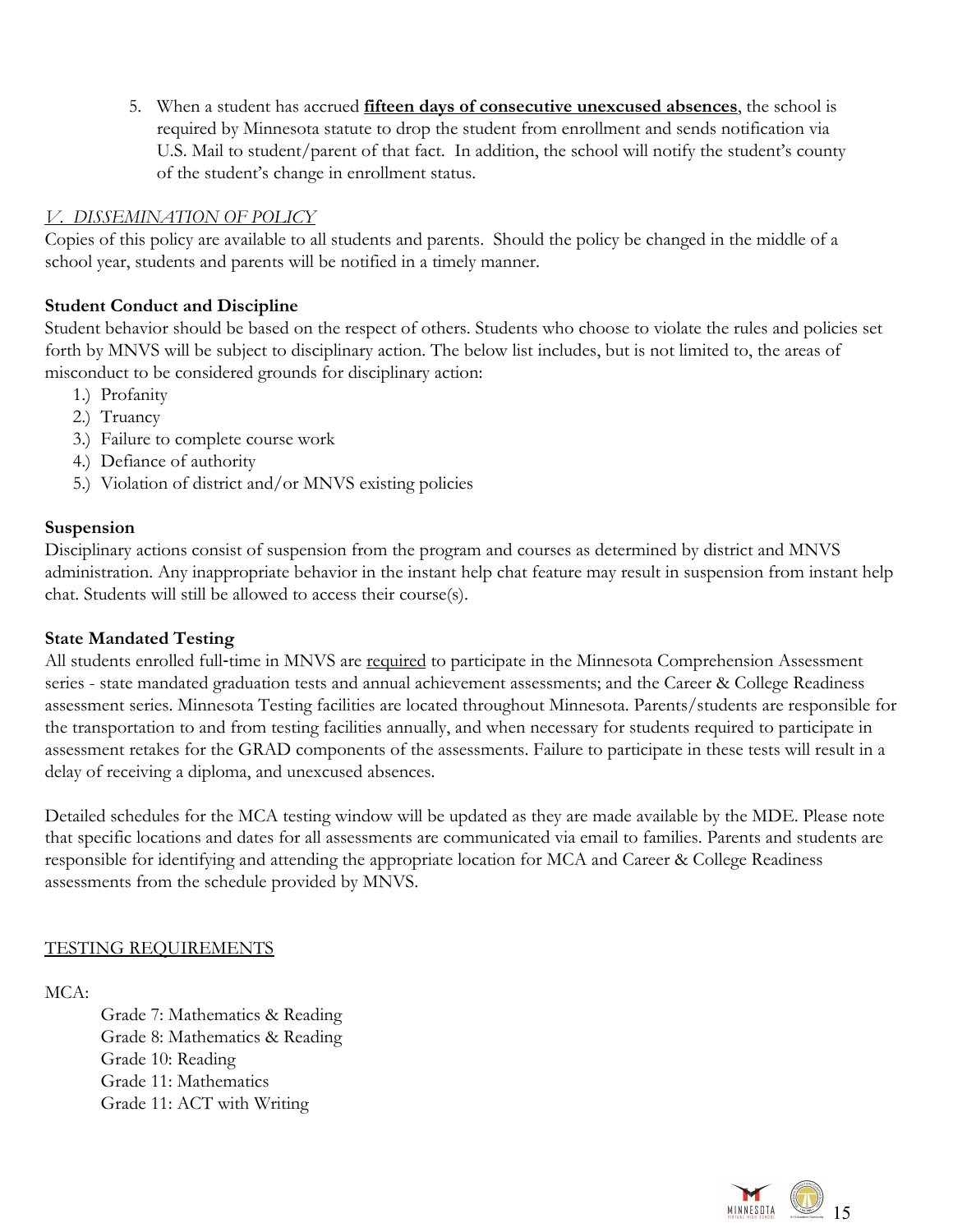5. When a student has accrued **fifteen days of consecutive unexcused absences**, the school is required by Minnesota statute to drop the student from enrollment and sends notification via U.S. Mail to student/parent of that fact. In addition, the school will notify the student's county of the student's change in enrollment status.

### <span id="page-14-0"></span>*V. DISSEMINATION OF POLICY*

Copies of this policy are available to all students and parents. Should the policy be changed in the middle of a school year, students and parents will be notified in a timely manner.

### <span id="page-14-1"></span>**Student Conduct and Discipline**

Student behavior should be based on the respect of others. Students who choose to violate the rules and policies set forth by MNVS will be subject to disciplinary action. The below list includes, but is not limited to, the areas of misconduct to be considered grounds for disciplinary action:

- 1.) Profanity
- 2.) Truancy
- 3.) Failure to complete course work
- 4.) Defiance of authority
- <span id="page-14-2"></span>5.) Violation of district and/or MNVS existing policies

### **Suspension**

Disciplinary actions consist of suspension from the program and courses as determined by district and MNVS administration. Any inappropriate behavior in the instant help chat feature may result in suspension from instant help chat. Students will still be allowed to access their course(s).

### <span id="page-14-3"></span>**State Mandated Testing**

All students enrolled full-time in MNVS are required to participate in the Minnesota Comprehension Assessment series - state mandated graduation tests and annual achievement assessments; and the Career & College Readiness assessment series. Minnesota Testing facilities are located throughout Minnesota. Parents/students are responsible for the transportation to and from testing facilities annually, and when necessary for students required to participate in assessment retakes for the GRAD components of the assessments. Failure to participate in these tests will result in a delay of receiving a diploma, and unexcused absences.

Detailed schedules for the MCA testing window will be updated as they are made available by the MDE. Please note that specific locations and dates for all assessments are communicated via email to families. Parents and students are responsible for identifying and attending the appropriate location for MCA and Career & College Readiness assessments from the schedule provided by MNVS.

### TESTING REQUIREMENTS

# MCA:

Grade 7: Mathematics & Reading Grade 8: Mathematics & Reading Grade 10: Reading Grade 11: Mathematics Grade 11: ACT with Writing

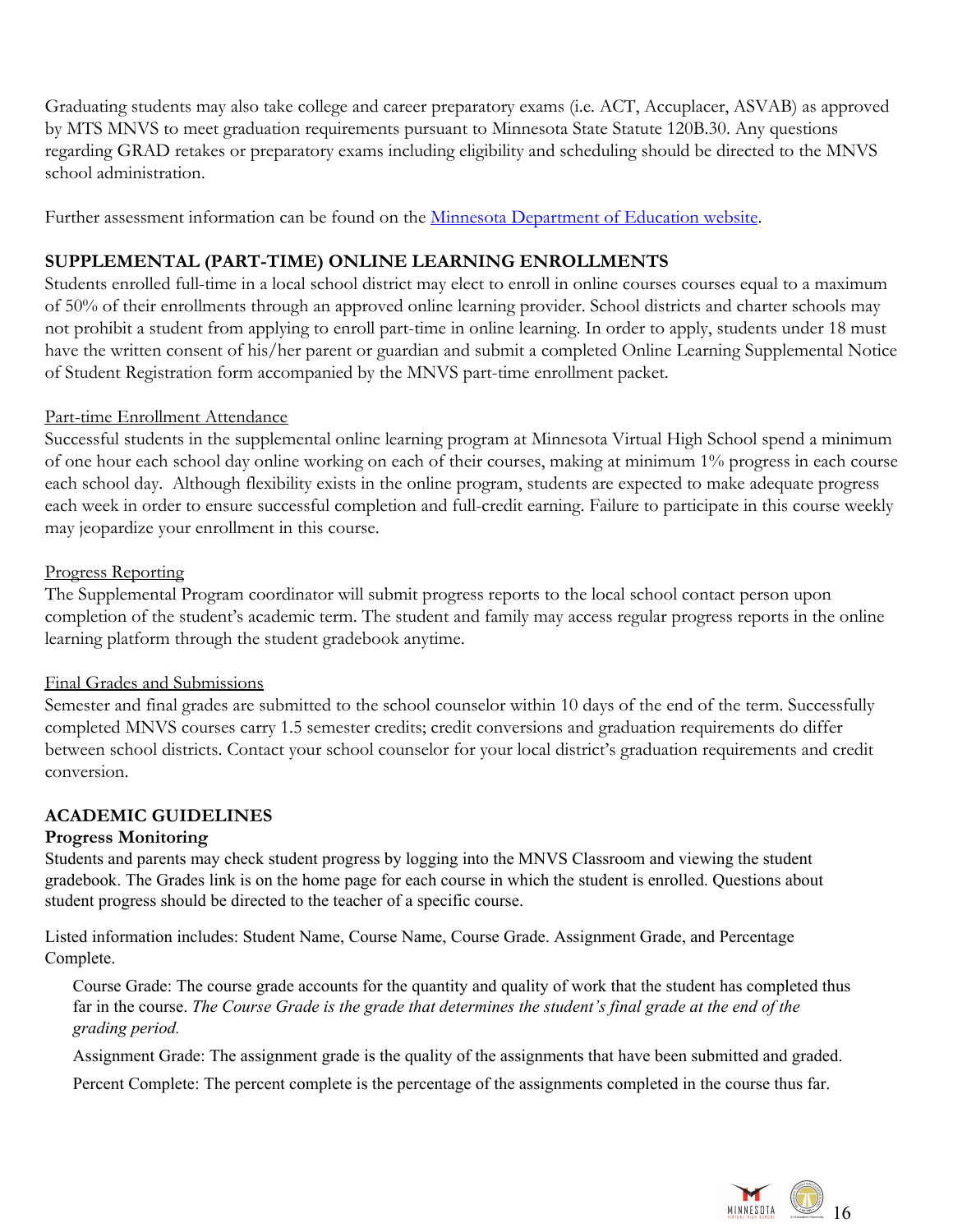Graduating students may also take college and career preparatory exams (i.e. ACT, Accuplacer, ASVAB) as approved by MTS MNVS to meet graduation requirements pursuant to Minnesota State Statute 120B.30. Any questions regarding GRAD retakes or preparatory exams including eligibility and scheduling should be directed to the MNVS school administration.

Further assessment information can be found on the [Minnesota Department of Education website](http://education.state.mn.us/MDE/JustParent/TestReq/).

# <span id="page-15-0"></span>**SUPPLEMENTAL (PART-TIME) ONLINE LEARNING ENROLLMENTS**

Students enrolled full-time in a local school district may elect to enroll in online courses courses equal to a maximum of 50% of their enrollments through an approved online learning provider. School districts and charter schools may not prohibit a student from applying to enroll part-time in online learning. In order to apply, students under 18 must have the written consent of his/her parent or guardian and submit a completed Online Learning Supplemental Notice of Student Registration form accompanied by the MNVS part-time enrollment packet.

### Part-time Enrollment Attendance

Successful students in the supplemental online learning program at Minnesota Virtual High School spend a minimum of one hour each school day online working on each of their courses, making at minimum 1% progress in each course each school day. Although flexibility exists in the online program, students are expected to make adequate progress each week in order to ensure successful completion and full-credit earning. Failure to participate in this course weekly may jeopardize your enrollment in this course.

#### Progress Reporting

The Supplemental Program coordinator will submit progress reports to the local school contact person upon completion of the student's academic term. The student and family may access regular progress reports in the online learning platform through the student gradebook anytime.

#### Final Grades and Submissions

Semester and final grades are submitted to the school counselor within 10 days of the end of the term. Successfully completed MNVS courses carry 1.5 semester credits; credit conversions and graduation requirements do differ between school districts. Contact your school counselor for your local district's graduation requirements and credit conversion.

### <span id="page-15-1"></span>**ACADEMIC GUIDELINES**

### <span id="page-15-2"></span>**Progress Monitoring**

Students and parents may check student progress by logging into the MNVS Classroom and viewing the student gradebook. The Grades link is on the home page for each course in which the student is enrolled. Questions about student progress should be directed to the teacher of a specific course.

Listed information includes: Student Name, Course Name, Course Grade. Assignment Grade, and Percentage Complete.

Course Grade: The course grade accounts for the quantity and quality of work that the student has completed thus far in the course. The Course Grade is the grade that determines the student's final grade at the end of the *grading period.*

Assignment Grade: The assignment grade is the quality of the assignments that have been submitted and graded.

Percent Complete: The percent complete is the percentage of the assignments completed in the course thus far.

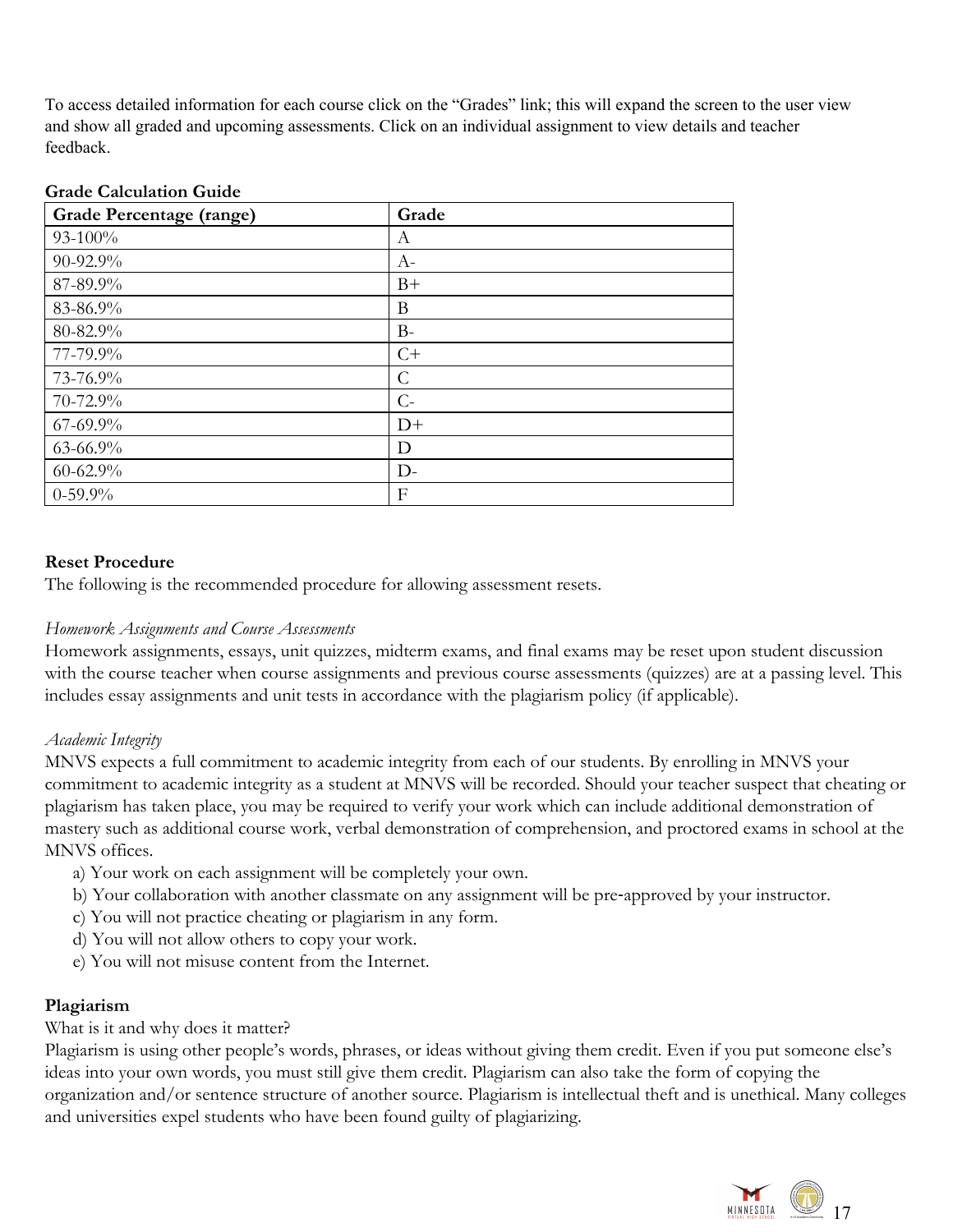To access detailed information for each course click on the "Grades" link; this will expand the screen to the user view and show all graded and upcoming assessments. Click on an individual assignment to view details and teacher feedback.

#### <span id="page-16-0"></span>**Grade Calculation Guide**

| <b>Grade Percentage (range)</b> | Grade         |
|---------------------------------|---------------|
| $93-100%$                       | A             |
| 90-92.9%                        | $A-$          |
| 87-89.9%                        | $B+$          |
| 83-86.9%                        | B             |
| 80-82.9%                        | $B-$          |
| 77-79.9%                        | $C+$          |
| 73-76.9%                        | $\mathcal{C}$ |
| 70-72.9%                        | $C-$          |
| $67 - 69.9\%$                   | $D+$          |
| $63 - 66.9\%$                   | D             |
| $60 - 62.9\%$                   | $D -$         |
| $0-59.9%$                       | F             |

#### <span id="page-16-1"></span>**Reset Procedure**

The following is the recommended procedure for allowing assessment resets.

#### *Homework Assignments and Course Assessments*

Homework assignments, essays, unit quizzes, midterm exams, and final exams may be reset upon student discussion with the course teacher when course assignments and previous course assessments (quizzes) are at a passing level. This includes essay assignments and unit tests in accordance with the plagiarism policy (if applicable).

#### *Academic Integrity*

MNVS expects a full commitment to academic integrity from each of our students. By enrolling in MNVS your commitment to academic integrity as a student at MNVS will be recorded. Should your teacher suspect that cheating or plagiarism has taken place, you may be required to verify your work which can include additional demonstration of mastery such as additional course work, verbal demonstration of comprehension, and proctored exams in school at the MNVS offices.

- a) Your work on each assignment will be completely your own.
- b) Your collaboration with another classmate on any assignment will be pre-approved by your instructor.
- c) You will not practice cheating or plagiarism in any form.
- d) You will not allow others to copy your work.
- <span id="page-16-2"></span>e) You will not misuse content from the Internet.

#### **Plagiarism**

What is it and why does it matter?

Plagiarism is using other people's words, phrases, or ideas without giving them credit. Even if you put someone else's ideas into your own words, you must still give them credit. Plagiarism can also take the form of copying the organization and/or sentence structure of another source. Plagiarism is intellectual theft and is unethical. Many colleges and universities expel students who have been found guilty of plagiarizing.

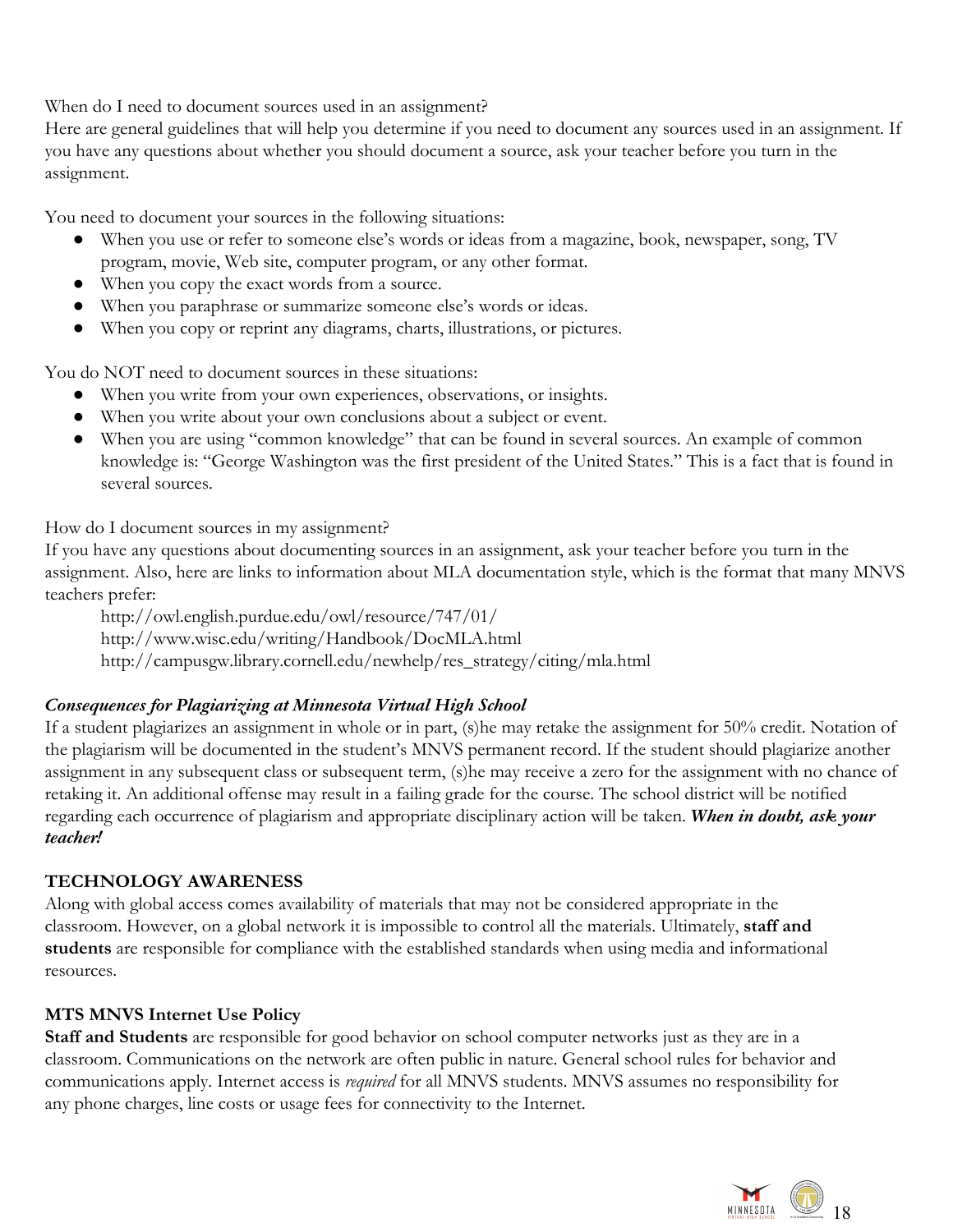When do I need to document sources used in an assignment?

Here are general guidelines that will help you determine if you need to document any sources used in an assignment. If you have any questions about whether you should document a source, ask your teacher before you turn in the assignment.

You need to document your sources in the following situations:

- When you use or refer to someone else's words or ideas from a magazine, book, newspaper, song, TV program, movie, Web site, computer program, or any other format.
- When you copy the exact words from a source.
- When you paraphrase or summarize someone else's words or ideas.
- When you copy or reprint any diagrams, charts, illustrations, or pictures.

You do NOT need to document sources in these situations:

- When you write from your own experiences, observations, or insights.
- When you write about your own conclusions about a subject or event.
- When you are using "common knowledge" that can be found in several sources. An example of common knowledge is: "George Washington was the first president of the United States." This is a fact that is found in several sources.

How do I document sources in my assignment?

If you have any questions about documenting sources in an assignment, ask your teacher before you turn in the assignment. Also, here are links to information about MLA documentation style, which is the format that many MNVS teachers prefer:

http://owl.english.purdue.edu/owl/resource/747/01/

http://www.wisc.edu/writing/Handbook/DocMLA.html

<span id="page-17-0"></span>http://campusgw.library.cornell.edu/newhelp/res\_strategy/citing/mla.html

# *Consequences for Plagiarizing at Minnesota Virtual High School*

If a student plagiarizes an assignment in whole or in part, (s)he may retake the assignment for 50% credit. Notation of the plagiarism will be documented in the student's MNVS permanent record. If the student should plagiarize another assignment in any subsequent class or subsequent term, (s)he may receive a zero for the assignment with no chance of retaking it. An additional offense may result in a failing grade for the course. The school district will be notified regarding each occurrence of plagiarism and appropriate disciplinary action will be taken. *When in doubt, ask your teacher!*

# <span id="page-17-1"></span>**TECHNOLOGY AWARENESS**

Along with global access comes availability of materials that may not be considered appropriate in the classroom. However, on a global network it is impossible to control all the materials. Ultimately, **staff and students** are responsible for compliance with the established standards when using media and informational resources.

# <span id="page-17-2"></span>**MTS MNVS Internet Use Policy**

**Staff and Students** are responsible for good behavior on school computer networks just as they are in a classroom. Communications on the network are often public in nature. General school rules for behavior and communications apply. Internet access is *required* for all MNVS students. MNVS assumes no responsibility for any phone charges, line costs or usage fees for connectivity to the Internet.

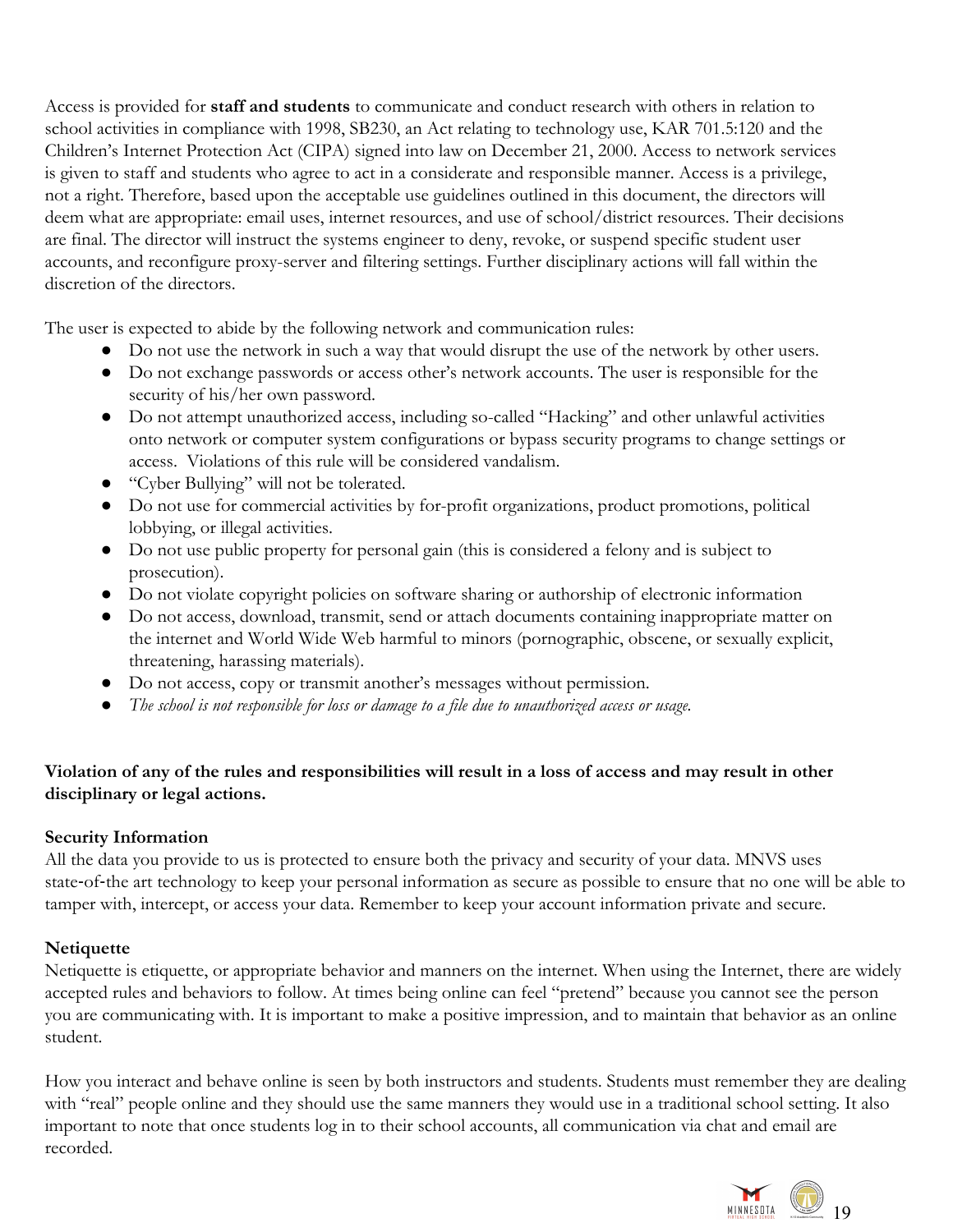Access is provided for **staff and students** to communicate and conduct research with others in relation to school activities in compliance with 1998, SB230, an Act relating to technology use, KAR 701.5:120 and the Children's Internet Protection Act (CIPA) signed into law on December 21, 2000. Access to network services is given to staff and students who agree to act in a considerate and responsible manner. Access is a privilege, not a right. Therefore, based upon the acceptable use guidelines outlined in this document, the directors will deem what are appropriate: email uses, internet resources, and use of school/district resources. Their decisions are final. The director will instruct the systems engineer to deny, revoke, or suspend specific student user accounts, and reconfigure proxy-server and filtering settings. Further disciplinary actions will fall within the discretion of the directors.

The user is expected to abide by the following network and communication rules:

- Do not use the network in such a way that would disrupt the use of the network by other users.
- Do not exchange passwords or access other's network accounts. The user is responsible for the security of his/her own password.
- Do not attempt unauthorized access, including so-called "Hacking" and other unlawful activities onto network or computer system configurations or bypass security programs to change settings or access. Violations of this rule will be considered vandalism.
- "Cyber Bullying" will not be tolerated.
- Do not use for commercial activities by for-profit organizations, product promotions, political lobbying, or illegal activities.
- Do not use public property for personal gain (this is considered a felony and is subject to prosecution).
- Do not violate copyright policies on software sharing or authorship of electronic information
- Do not access, download, transmit, send or attach documents containing inappropriate matter on the internet and World Wide Web harmful to minors (pornographic, obscene, or sexually explicit, threatening, harassing materials).
- Do not access, copy or transmit another's messages without permission.
- *The school is not responsible for loss or damage to a file due to unauthorized access or usage.*

# **Violation of any of the rules and responsibilities will result in a loss of access and may result in other disciplinary or legal actions.**

### <span id="page-18-0"></span>**Security Information**

All the data you provide to us is protected to ensure both the privacy and security of your data. MNVS uses state-of-the art technology to keep your personal information as secure as possible to ensure that no one will be able to tamper with, intercept, or access your data. Remember to keep your account information private and secure.

# <span id="page-18-1"></span>**Netiquette**

Netiquette is etiquette, or appropriate behavior and manners on the internet. When using the Internet, there are widely accepted rules and behaviors to follow. At times being online can feel "pretend" because you cannot see the person you are communicating with. It is important to make a positive impression, and to maintain that behavior as an online student.

How you interact and behave online is seen by both instructors and students. Students must remember they are dealing with "real" people online and they should use the same manners they would use in a traditional school setting. It also important to note that once students log in to their school accounts, all communication via chat and email are recorded.

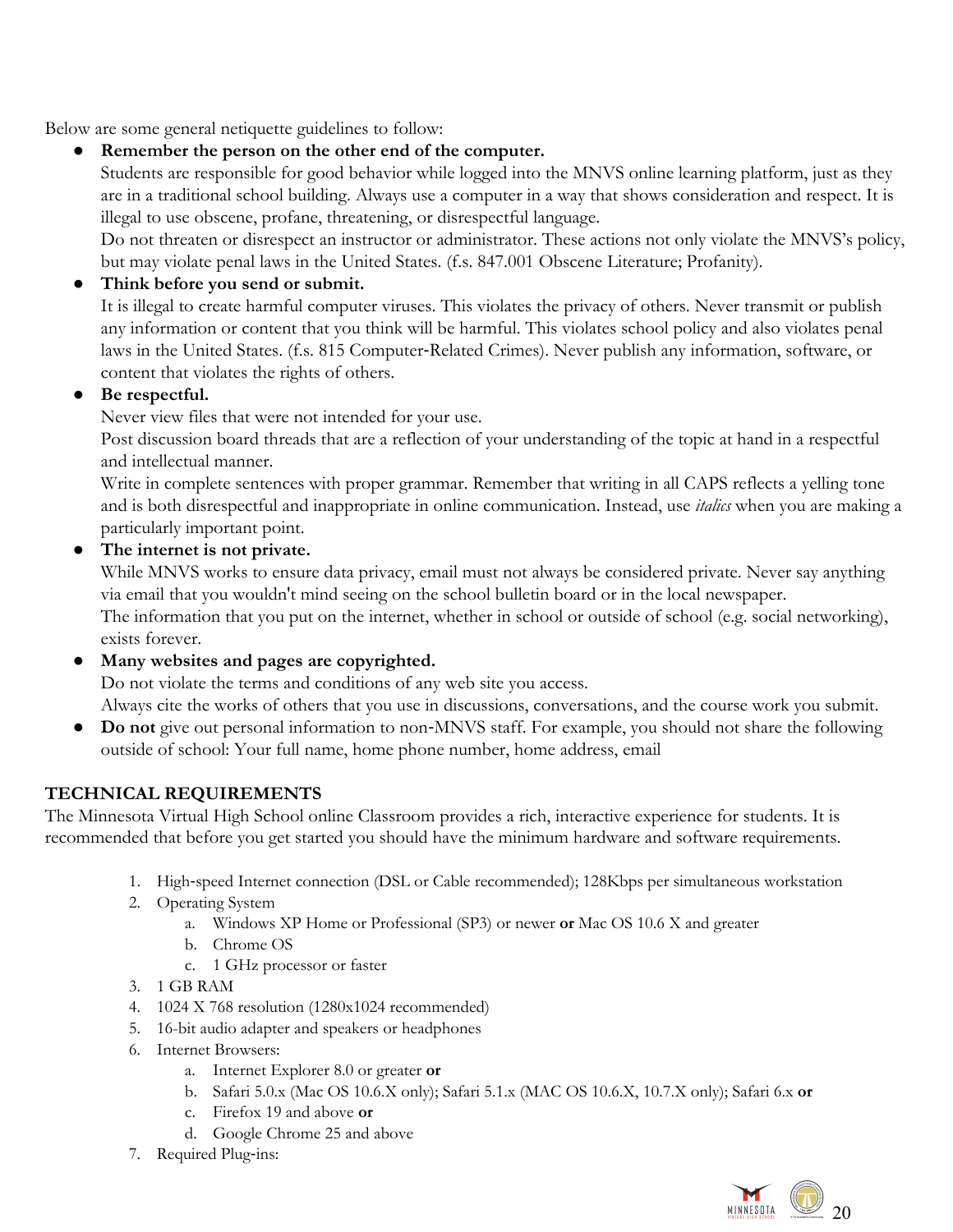Below are some general netiquette guidelines to follow:

● **Remember the person on the other end of the computer.**

Students are responsible for good behavior while logged into the MNVS online learning platform, just as they are in a traditional school building. Always use a computer in a way that shows consideration and respect. It is illegal to use obscene, profane, threatening, or disrespectful language.

Do not threaten or disrespect an instructor or administrator. These actions not only violate the MNVS's policy, but may violate penal laws in the United States. (f.s. 847.001 Obscene Literature; Profanity).

# Think before you send or submit.

It is illegal to create harmful computer viruses. This violates the privacy of others. Never transmit or publish any information or content that you think will be harmful. This violates school policy and also violates penal laws in the United States. (f.s. 815 Computer-Related Crimes). Never publish any information, software, or content that violates the rights of others.

# ● **Be respectful.**

Never view files that were not intended for your use.

Post discussion board threads that are a reflection of your understanding of the topic at hand in a respectful and intellectual manner.

Write in complete sentences with proper grammar. Remember that writing in all CAPS reflects a yelling tone and is both disrespectful and inappropriate in online communication. Instead, use *italics* when you are making a particularly important point.

● **The internet is not private.**

While MNVS works to ensure data privacy, email must not always be considered private. Never say anything via email that you wouldn't mind seeing on the school bulletin board or in the local newspaper.

The information that you put on the internet, whether in school or outside of school (e.g. social networking), exists forever.

# ● **Many websites and pages are copyrighted.**

Do not violate the terms and conditions of any web site you access.

Always cite the works of others that you use in discussions, conversations, and the course work you submit.

● **Do not** give out personal information to non-MNVS staff. For example, you should not share the following outside of school: Your full name, home phone number, home address, email

# <span id="page-19-0"></span>**TECHNICAL REQUIREMENTS**

The Minnesota Virtual High School online Classroom provides a rich, interactive experience for students. It is recommended that before you get started you should have the minimum hardware and software requirements.

- 1. High-speed Internet connection (DSL or Cable recommended); 128Kbps per simultaneous workstation
- 2. Operating System
	- a. Windows XP Home or Professional (SP3) or newer **or** Mac OS 10.6 X and greater
	- b. Chrome OS
	- c. 1 GHz processor or faster
- 3. 1 GB RAM
- 4. 1024 X 768 resolution (1280x1024 recommended)
- 5. 16-bit audio adapter and speakers or headphones
- 6. Internet Browsers:
	- a. Internet Explorer 8.0 or greater **or**
	- b. Safari 5.0.x (Mac OS 10.6.X only); Safari 5.1.x (MAC OS 10.6.X, 10.7.X only); Safari 6.x **or**
	- c. Firefox 19 and above **or**
	- d. Google Chrome 25 and above
- 7. Required Plug-ins:

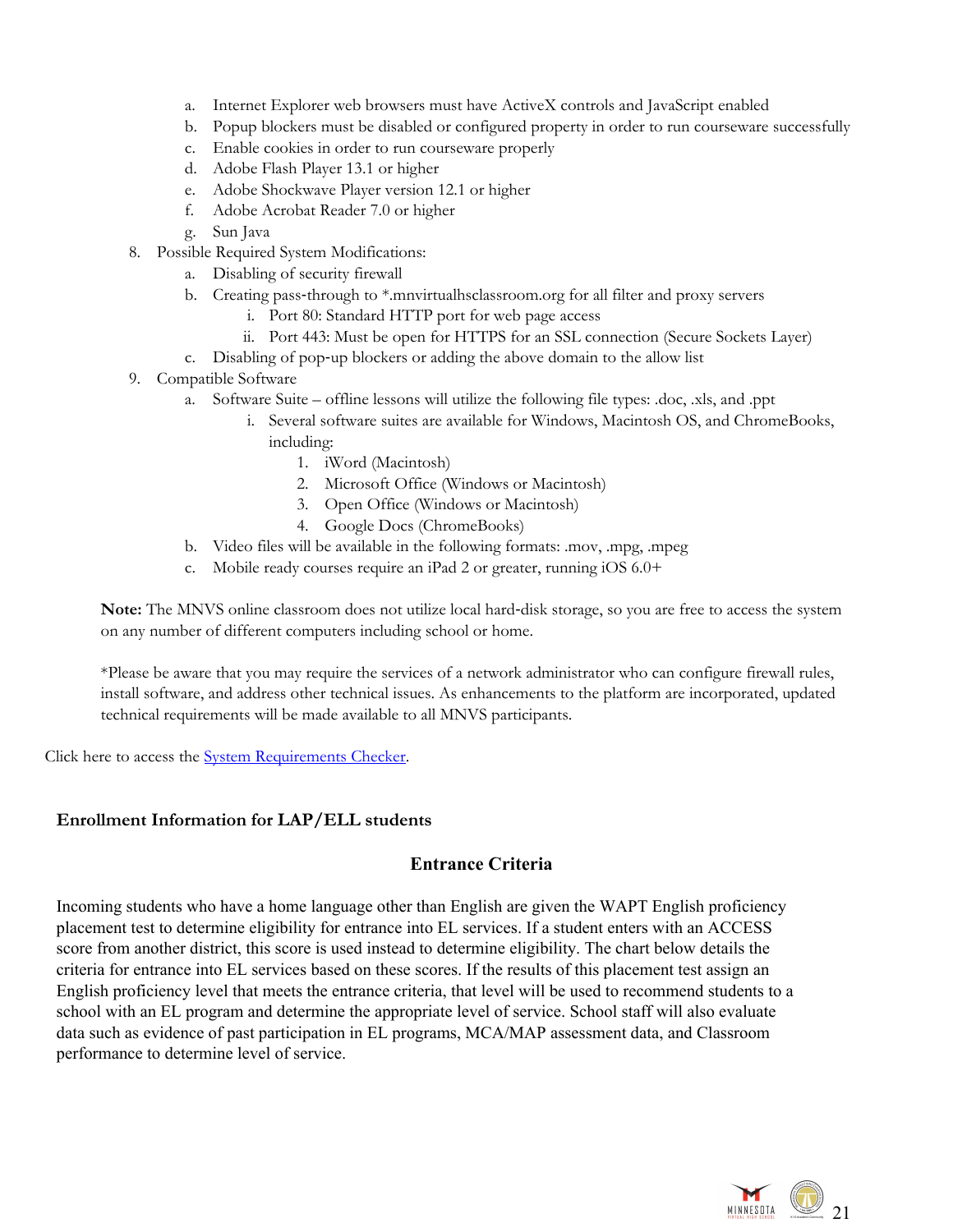- a. Internet Explorer web browsers must have ActiveX controls and JavaScript enabled
- b. Popup blockers must be disabled or configured property in order to run courseware successfully
- c. Enable cookies in order to run courseware properly
- d. Adobe Flash Player 13.1 or higher
- e. Adobe Shockwave Player version 12.1 or higher
- f. Adobe Acrobat Reader 7.0 or higher
- g. Sun Java
- 8. Possible Required System Modifications:
	- a. Disabling of security firewall
		- b. Creating pass-through to \*.mnvirtualhsclassroom.org for all filter and proxy servers
			- i. Port 80: Standard HTTP port for web page access
			- ii. Port 443: Must be open for HTTPS for an SSL connection (Secure Sockets Layer)
		- c. Disabling of pop-up blockers or adding the above domain to the allow list
- 9. Compatible Software
	- a. Software Suite offline lessons will utilize the following file types: .doc, .xls, and .ppt
		- i. Several software suites are available for Windows, Macintosh OS, and ChromeBooks, including:
			- 1. iWord (Macintosh)
			- 2. Microsoft Office (Windows or Macintosh)
			- 3. Open Office (Windows or Macintosh)
			- 4. Google Docs (ChromeBooks)
	- b. Video files will be available in the following formats: .mov, .mpg, .mpeg
	- c. Mobile ready courses require an iPad 2 or greater, running iOS 6.0+

**Note:** The MNVS online classroom does not utilize local hard-disk storage, so you are free to access the system on any number of different computers including school or home.

\*Please be aware that you may require the services of a network administrator who can configure firewall rules, install software, and address other technical issues. As enhancements to the platform are incorporated, updated technical requirements will be made available to all MNVS participants.

Click here to access the System [Requirements](https://support.plato.com/Edmentum_Knowledge_Base/System_Requirements_Checker) Checker.

#### <span id="page-20-0"></span>**Enrollment Information for LAP/ELL students**

### **Entrance Criteria**

Incoming students who have a home language other than English are given the WAPT English proficiency placement test to determine eligibility for entrance into EL services. If a student enters with an ACCESS score from another district, this score is used instead to determine eligibility. The chart below details the criteria for entrance into EL services based on these scores. If the results of this placement test assign an English proficiency level that meets the entrance criteria, that level will be used to recommend students to a school with an EL program and determine the appropriate level of service. School staff will also evaluate data such as evidence of past participation in EL programs, MCA/MAP assessment data, and Classroom performance to determine level of service.